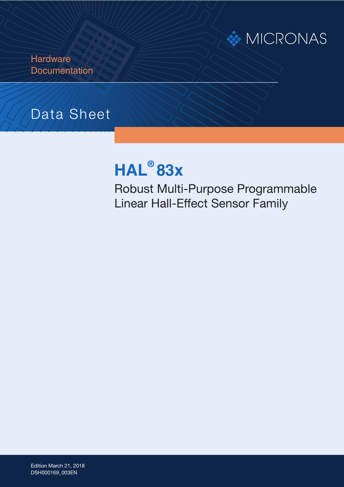

**Hardware Documentation** 

## Data Sheet

# **HAL® 83x**

Robust Multi-Purpose Programmable Linear Hall-Effect Sensor Family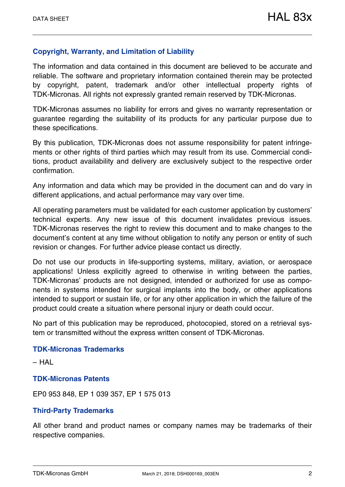#### **Copyright, Warranty, and Limitation of Liability**

The information and data contained in this document are believed to be accurate and reliable. The software and proprietary information contained therein may be protected by copyright, patent, trademark and/or other intellectual property rights of TDK-Micronas. All rights not expressly granted remain reserved by TDK-Micronas.

TDK-Micronas assumes no liability for errors and gives no warranty representation or guarantee regarding the suitability of its products for any particular purpose due to these specifications.

By this publication, TDK-Micronas does not assume responsibility for patent infringements or other rights of third parties which may result from its use. Commercial conditions, product availability and delivery are exclusively subject to the respective order confirmation.

Any information and data which may be provided in the document can and do vary in different applications, and actual performance may vary over time.

All operating parameters must be validated for each customer application by customers' technical experts. Any new issue of this document invalidates previous issues. TDK-Micronas reserves the right to review this document and to make changes to the document's content at any time without obligation to notify any person or entity of such revision or changes. For further advice please contact us directly.

Do not use our products in life-supporting systems, military, aviation, or aerospace applications! Unless explicitly agreed to otherwise in writing between the parties, TDK-Micronas' products are not designed, intended or authorized for use as components in systems intended for surgical implants into the body, or other applications intended to support or sustain life, or for any other application in which the failure of the product could create a situation where personal injury or death could occur.

No part of this publication may be reproduced, photocopied, stored on a retrieval system or transmitted without the express written consent of TDK-Micronas.

#### **TDK-Micronas Trademarks**

– HAL

#### **TDK-Micronas Patents**

EP0 953 848, EP 1 039 357, EP 1 575 013

#### **Third-Party Trademarks**

All other brand and product names or company names may be trademarks of their respective companies.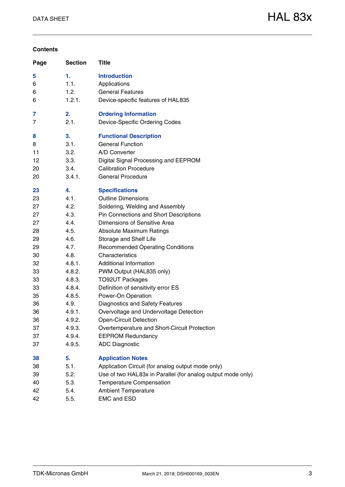#### **Contents**

| Page | <b>Section</b> | <b>Title</b>                                                |
|------|----------------|-------------------------------------------------------------|
| 5    | 1.             | <b>Introduction</b>                                         |
| 6    | 1.1.           | Applications                                                |
| 6    | 1.2.           | <b>General Features</b>                                     |
| 6    | 1.2.1.         | Device-specific features of HAL835                          |
| 7    | 2.             | <b>Ordering Information</b>                                 |
| 7    | 2.1.           | <b>Device-Specific Ordering Codes</b>                       |
| 8    | 3.             | <b>Functional Description</b>                               |
| 8    | 3.1.           | <b>General Function</b>                                     |
| 11   | 3.2.           | A/D Converter                                               |
| 12   | 3.3.           | Digital Signal Processing and EEPROM                        |
| 20   | 3.4.           | <b>Calibration Procedure</b>                                |
| 20   | 3.4.1.         | <b>General Procedure</b>                                    |
| 23   | 4.             | <b>Specifications</b>                                       |
| 23   | 4.1.           | <b>Outline Dimensions</b>                                   |
| 27   | 4.2.           | Soldering, Welding and Assembly                             |
| 27   | 4.3.           | Pin Connections and Short Descriptions                      |
| 27   | 4.4.           | Dimensions of Sensitive Area                                |
| 28   | 4.5.           | <b>Absolute Maximum Ratings</b>                             |
| 29   | 4.6.           | Storage and Shelf Life                                      |
| 29   | 4.7.           | <b>Recommended Operating Conditions</b>                     |
| 30   | 4.8.           | Characteristics                                             |
| 32   | 4.8.1.         | <b>Additional Information</b>                               |
| 33   | 4.8.2.         | PWM Output (HAL835 only)                                    |
| 33   | 4.8.3.         | <b>TO92UT Packages</b>                                      |
| 33   | 4.8.4.         | Definition of sensitivity error ES                          |
| 35   | 4.8.5.         | Power-On Operation                                          |
| 36   | 4.9.           | <b>Diagnostics and Safety Features</b>                      |
| 36   | 4.9.1.         | Overvoltage and Undervoltage Detection                      |
| 36   | 4.9.2.         | <b>Open-Circuit Detection</b>                               |
| 37   | 4.9.3.         | Overtemperature and Short-Circuit Protection                |
| 37   | 4.9.4.         | <b>EEPROM Redundancy</b>                                    |
| 37   | 4.9.5.         | <b>ADC Diagnostic</b>                                       |
| 38   | 5.             | <b>Application Notes</b>                                    |
| 38   | 5.1.           | Application Circuit (for analog output mode only)           |
| 39   | 5.2.           | Use of two HAL83x in Parallel (for analog output mode only) |
| 40   | 5.3.           | <b>Temperature Compensation</b>                             |
| 42   | 5.4.           | <b>Ambient Temperature</b>                                  |
| 42   | 5.5.           | <b>EMC and ESD</b>                                          |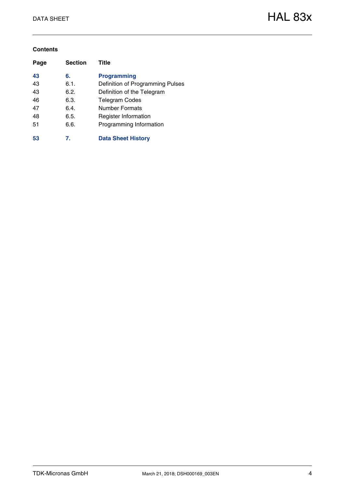#### **Contents**

| Page | <b>Section</b> | Title                            |
|------|----------------|----------------------------------|
| 43   | 6.             | <b>Programming</b>               |
| 43   | 6.1.           | Definition of Programming Pulses |
| 43   | 6.2.           | Definition of the Telegram       |
| 46   | 6.3.           | <b>Telegram Codes</b>            |
| 47   | 6.4.           | Number Formats                   |
| 48   | 6.5.           | <b>Register Information</b>      |
| 51   | 6.6.           | Programming Information          |
| 53   | 7.             | <b>Data Sheet History</b>        |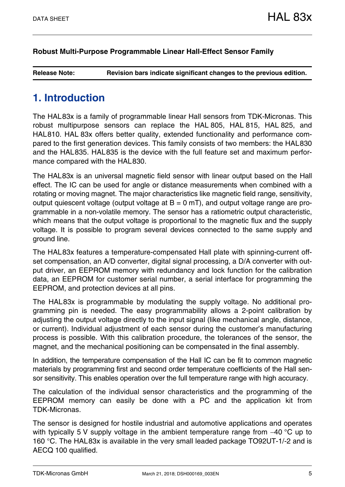#### **[Robust Multi-Purpose Programmable Linear Hall-Effect Sensor Family](#page--1-0)**

**Release Note: Revision bars indicate significant changes to the previous edition.**

## <span id="page-4-0"></span>**1. Introduction**

The HAL83x is a family of programmable linear Hall sensors from TDK-Micronas. This robust multipurpose sensors can replace the HAL 805, HAL 815, HAL 825, and HAL810. HAL 83x offers better quality, extended functionality and performance compared to the first generation devices. This family consists of two members: the HAL830 and the HAL835. HAL835 is the device with the full feature set and maximum performance compared with the HAL830.

The HAL83x is an universal magnetic field sensor with linear output based on the Hall effect. The IC can be used for angle or distance measurements when combined with a rotating or moving magnet. The major characteristics like magnetic field range, sensitivity, output quiescent voltage (output voltage at  $B = 0$  mT), and output voltage range are programmable in a non-volatile memory. The sensor has a ratiometric output characteristic, which means that the output voltage is proportional to the magnetic flux and the supply voltage. It is possible to program several devices connected to the same supply and ground line.

The HAL83x features a temperature-compensated Hall plate with spinning-current offset compensation, an A/D converter, digital signal processing, a D/A converter with output driver, an EEPROM memory with redundancy and lock function for the calibration data, an EEPROM for customer serial number, a serial interface for programming the EEPROM, and protection devices at all pins.

The HAL83x is programmable by modulating the supply voltage. No additional programming pin is needed. The easy programmability allows a 2-point calibration by adjusting the output voltage directly to the input signal (like mechanical angle, distance, or current). Individual adjustment of each sensor during the customer's manufacturing process is possible. With this calibration procedure, the tolerances of the sensor, the magnet, and the mechanical positioning can be compensated in the final assembly.

In addition, the temperature compensation of the Hall IC can be fit to common magnetic materials by programming first and second order temperature coefficients of the Hall sensor sensitivity. This enables operation over the full temperature range with high accuracy.

The calculation of the individual sensor characteristics and the programming of the EEPROM memory can easily be done with a PC and the application kit from TDK-Micronas.

The sensor is designed for hostile industrial and automotive applications and operates with typically 5 V supply voltage in the ambient temperature range from  $-40$  °C up to 160 °C. The HAL83x is available in the very small leaded package TO92UT-1/-2 and is AECQ 100 qualified.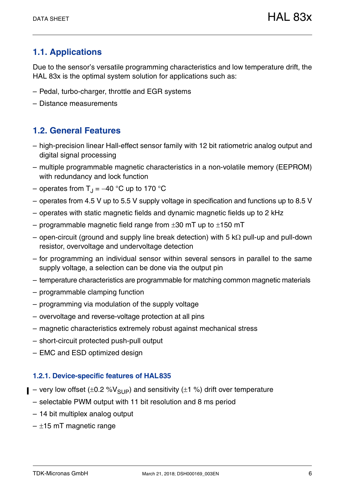## <span id="page-5-0"></span>**1.1. Applications**

Due to the sensor's versatile programming characteristics and low temperature drift, the HAL 83x is the optimal system solution for applications such as:

- Pedal, turbo-charger, throttle and EGR systems
- Distance measurements

## <span id="page-5-1"></span>**1.2. General Features**

- high-precision linear Hall-effect sensor family with 12 bit ratiometric analog output and digital signal processing
- multiple programmable magnetic characteristics in a non-volatile memory (EEPROM) with redundancy and lock function
- operates from  $T_{\rm J}$  = -40 °C up to 170 °C
- operates from 4.5 V up to 5.5 V supply voltage in specification and functions up to 8.5 V
- operates with static magnetic fields and dynamic magnetic fields up to 2 kHz
- programmable magnetic field range from  $\pm 30$  mT up to  $\pm 150$  mT
- open-circuit (ground and supply line break detection) with 5 k $\Omega$  pull-up and pull-down resistor, overvoltage and undervoltage detection
- for programming an individual sensor within several sensors in parallel to the same supply voltage, a selection can be done via the output pin
- temperature characteristics are programmable for matching common magnetic materials
- programmable clamping function
- programming via modulation of the supply voltage
- overvoltage and reverse-voltage protection at all pins
- magnetic characteristics extremely robust against mechanical stress
- short-circuit protected push-pull output
- EMC and ESD optimized design

#### <span id="page-5-2"></span>**1.2.1. Device-specific features of HAL835**

- $\blacksquare$  very low offset ( $\pm$ 0.2 %V<sub>SUP</sub>) and sensitivity ( $\pm$ 1 %) drift over temperature
	- selectable PWM output with 11 bit resolution and 8 ms period
	- 14 bit multiplex analog output
	- $-$  ±15 mT magnetic range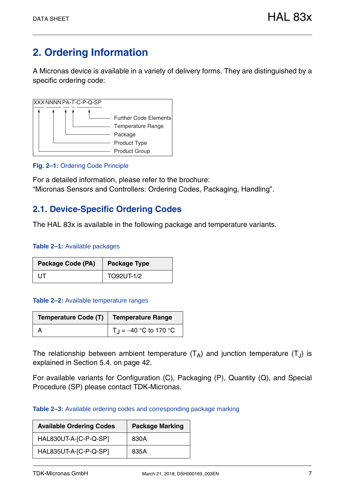## <span id="page-6-0"></span>**2. Ordering Information**

A Micronas device is available in a variety of delivery forms. They are distinguished by a specific ordering code:



#### **Fig. 2–1:** Ordering Code Principle

For a detailed information, please refer to the brochure: "Micronas Sensors and Controllers: Ordering Codes, Packaging, Handling".

### <span id="page-6-1"></span>**2.1. Device-Specific Ordering Codes**

The HAL 83x is available in the following package and temperature variants.

#### **Table 2–1:** Available packages

| Package Code (PA) | <b>Package Type</b> |
|-------------------|---------------------|
| UT.               | TO92UT-1/2          |

#### **Table 2–2:** Available temperature ranges

| Temperature Code (T)   Temperature Range |                                      |
|------------------------------------------|--------------------------------------|
|                                          | $\vert T_{\rm J} = -40$ °C to 170 °C |

The relationship between ambient temperature  $(T_A)$  and junction temperature  $(T_A)$  is explained in [Section 5.4. on page 42.](#page-41-2)

For available variants for Configuration (C), Packaging (P), Quantity (Q), and Special Procedure (SP) please contact TDK-Micronas.

#### **Table 2–3:** Available ordering codes and corresponding package marking

| <b>Available Ordering Codes</b> | <b>Package Marking</b> |
|---------------------------------|------------------------|
| HAL830UT-A-[C-P-Q-SP]           | 830A                   |
| HAL835UT-A-[C-P-Q-SP]           | 835A                   |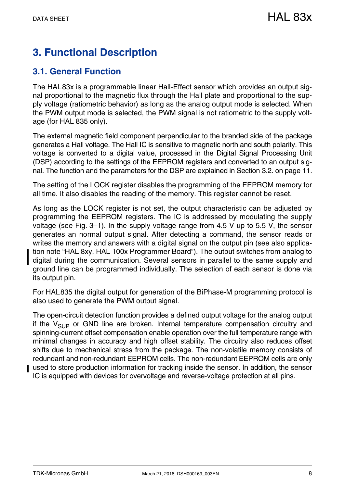## <span id="page-7-0"></span>**3. Functional Description**

## <span id="page-7-1"></span>**3.1. General Function**

The HAL83x is a programmable linear Hall-Effect sensor which provides an output signal proportional to the magnetic flux through the Hall plate and proportional to the supply voltage (ratiometric behavior) as long as the analog output mode is selected. When the PWM output mode is selected, the PWM signal is not ratiometric to the supply voltage (for HAL 835 only).

The external magnetic field component perpendicular to the branded side of the package generates a Hall voltage. The Hall IC is sensitive to magnetic north and south polarity. This voltage is converted to a digital value, processed in the Digital Signal Processing Unit (DSP) according to the settings of the EEPROM registers and converted to an output signal. The function and the parameters for the DSP are explained in [Section 3.2. on page 11](#page-10-0).

The setting of the LOCK register disables the programming of the EEPROM memory for all time. It also disables the reading of the memory. This register cannot be reset.

As long as the LOCK register is not set, the output characteristic can be adjusted by programming the EEPROM registers. The IC is addressed by modulating the supply voltage [\(see Fig. 3–1\)](#page-8-0). In the supply voltage range from 4.5 V up to 5.5 V, the sensor generates an normal output signal. After detecting a command, the sensor reads or writes the memory and answers with a digital signal on the output pin (see also application note "HAL 8xy, HAL 100x Programmer Board"). The output switches from analog to digital during the communication. Several sensors in parallel to the same supply and ground line can be programmed individually. The selection of each sensor is done via its output pin.

For HAL835 the digital output for generation of the BiPhase-M programming protocol is also used to generate the PWM output signal.

The open-circuit detection function provides a defined output voltage for the analog output if the  $V_{SIIP}$  or GND line are broken. Internal temperature compensation circuitry and spinning-current offset compensation enable operation over the full temperature range with minimal changes in accuracy and high offset stability. The circuitry also reduces offset shifts due to mechanical stress from the package. The non-volatile memory consists of redundant and non-redundant EEPROM cells. The non-redundant EEPROM cells are only used to store production information for tracking inside the sensor. In addition, the sensor IC is equipped with devices for overvoltage and reverse-voltage protection at all pins.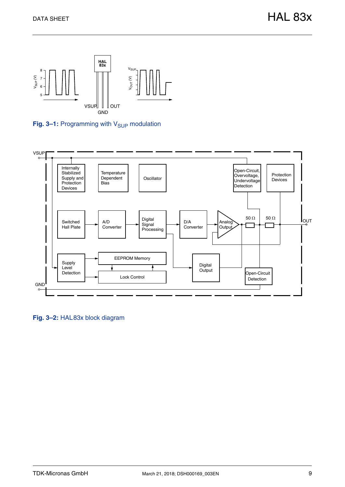

<span id="page-8-0"></span>Fig. 3-1: Programming with V<sub>SUP</sub> modulation



**Fig. 3–2:** HAL83x block diagram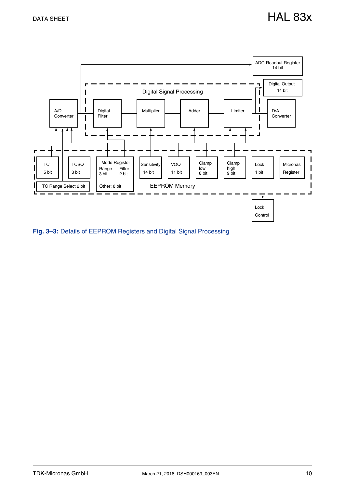

<span id="page-9-0"></span>**Fig. 3–3:** Details of EEPROM Registers and Digital Signal Processing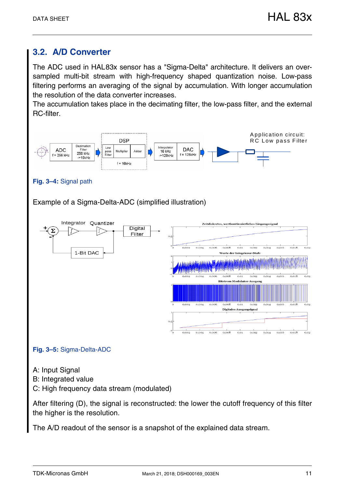## <span id="page-10-1"></span><span id="page-10-0"></span>**3.2. A/D Converter**

The ADC used in HAL83x sensor has a "Sigma-Delta" architecture. It delivers an oversampled multi-bit stream with high-frequency shaped quantization noise. Low-pass filtering performs an averaging of the signal by accumulation. With longer accumulation the resolution of the data converter increases.

The accumulation takes place in the decimating filter, the low-pass filter, and the external RC-filter.



#### **Fig. 3–4:** Signal path

Example of a Sigma-Delta-ADC (simplified illustration)



#### **Fig. 3–5:** Sigma-Delta-ADC

- A: Input Signal
- B: Integrated value

C: High frequency data stream (modulated)

After filtering (D), the signal is reconstructed: the lower the cutoff frequency of this filter the higher is the resolution.

The A/D readout of the sensor is a snapshot of the explained data stream.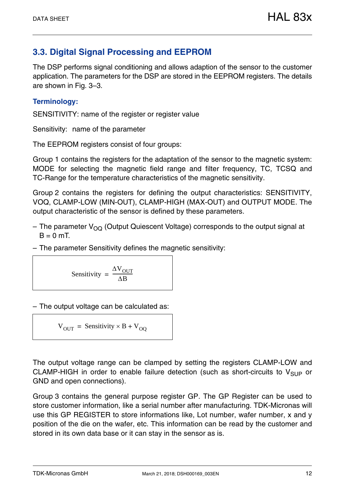## <span id="page-11-0"></span>**3.3. Digital Signal Processing and EEPROM**

The DSP performs signal conditioning and allows adaption of the sensor to the customer application. The parameters for the DSP are stored in the EEPROM registers. The details are shown in [Fig. 3–3.](#page-9-0)

#### **Terminology:**

SENSITIVITY: name of the register or register value

Sensitivity: name of the parameter

The EEPROM registers consist of four groups:

Group 1 contains the registers for the adaptation of the sensor to the magnetic system: MODE for selecting the magnetic field range and filter frequency, TC, TCSQ and TC-Range for the temperature characteristics of the magnetic sensitivity.

Group 2 contains the registers for defining the output characteristics: SENSITIVITY, VOQ, CLAMP-LOW (MIN-OUT), CLAMP-HIGH (MAX-OUT) and OUTPUT MODE. The output characteristic of the sensor is defined by these parameters.

- The parameter  $V_{OQ}$  (Output Quiescent Voltage) corresponds to the output signal at  $B = 0$  mT
- The parameter Sensitivity defines the magnetic sensitivity:

$$
Sensitivity = \frac{\Delta V_{OUT}}{\Delta B}
$$

– The output voltage can be calculated as:

$$
V_{OUT} = Sensitivity \times B + V_{OQ}
$$

The output voltage range can be clamped by setting the registers CLAMP-LOW and CLAMP-HIGH in order to enable failure detection (such as short-circuits to  $V_{SUP}$  or GND and open connections).

Group 3 contains the general purpose register GP. The GP Register can be used to store customer information, like a serial number after manufacturing. TDK-Micronas will use this GP REGISTER to store informations like, Lot number, wafer number, x and y position of the die on the wafer, etc. This information can be read by the customer and stored in its own data base or it can stay in the sensor as is.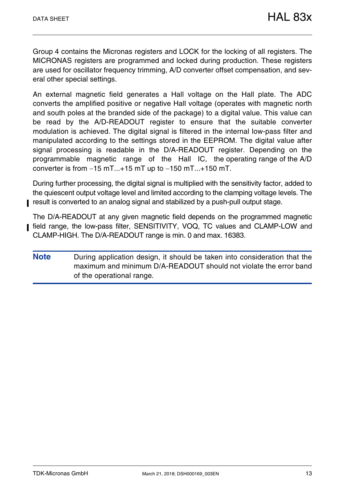Group 4 contains the Micronas registers and LOCK for the locking of all registers. The MICRONAS registers are programmed and locked during production. These registers are used for oscillator frequency trimming, A/D converter offset compensation, and several other special settings.

An external magnetic field generates a Hall voltage on the Hall plate. The ADC converts the amplified positive or negative Hall voltage (operates with magnetic north and south poles at the branded side of the package) to a digital value. This value can be read by the A/D-READOUT register to ensure that the suitable converter modulation is achieved. The digital signal is filtered in the internal low-pass filter and manipulated according to the settings stored in the EEPROM. The digital value after signal processing is readable in the D/A-READOUT register. Depending on the programmable magnetic range of the Hall IC, the operating range of the A/D converter is from  $-15$  mT $...+15$  mT up to  $-150$  mT $...+150$  mT.

During further processing, the digital signal is multiplied with the sensitivity factor, added to the quiescent output voltage level and limited according to the clamping voltage levels. The result is converted to an analog signal and stabilized by a push-pull output stage.

The D/A-READOUT at any given magnetic field depends on the programmed magnetic field range, the low-pass filter, SENSITIVITY, VOQ, TC values and CLAMP-LOW and CLAMP-HIGH. The D/A-READOUT range is min. 0 and max. 16383.

**Note** During application design, it should be taken into consideration that the maximum and minimum D/A-READOUT should not violate the error band of the operational range.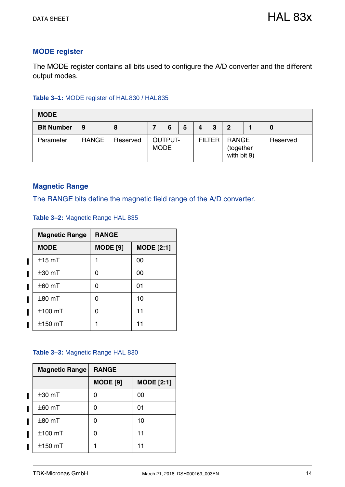#### **MODE register**

The MODE register contains all bits used to configure the A/D converter and the different output modes.

#### **Table 3–1:** MODE register of HAL830 / HAL835

| <b>MODE</b>       |              |          |             |                |   |   |               |                                          |          |
|-------------------|--------------|----------|-------------|----------------|---|---|---------------|------------------------------------------|----------|
| <b>Bit Number</b> | 9            | 8        |             | 6              | 5 | 4 | 3             | $\mathbf 2$                              | 0        |
| Parameter         | <b>RANGE</b> | Reserved | <b>MODE</b> | <b>OUTPUT-</b> |   |   | <b>FILTER</b> | <b>RANGE</b><br>(together<br>with bit 9) | Reserved |

#### **Magnetic Range**

The RANGE bits define the magnetic field range of the A/D converter.

<span id="page-13-0"></span>**Table 3–2:** Magnetic Range HAL 835

| <b>Magnetic Range</b> | <b>RANGE</b>    |                   |
|-----------------------|-----------------|-------------------|
| <b>MODE</b>           | <b>MODE</b> [9] | <b>MODE</b> [2:1] |
| $±15$ mT              |                 | 00                |
| $\pm$ 30 mT           | 0               | 00                |
| $\pm$ 60 mT           | 0               | 01                |
| $±80$ mT              | O               | 10                |
| $±100$ mT             | O               | 11                |
| $\pm$ 150 mT          |                 | 11                |

#### <span id="page-13-1"></span>**Table 3–3:** Magnetic Range HAL 830

| <b>Magnetic Range</b> | <b>RANGE</b>    |                   |  |  |
|-----------------------|-----------------|-------------------|--|--|
|                       | <b>MODE</b> [9] | <b>MODE</b> [2:1] |  |  |
| $±30$ mT              | O               | 00                |  |  |
| $\pm$ 60 mT           |                 | 01                |  |  |
| $\pm$ 80 mT           |                 | 10                |  |  |
| $±100$ mT             |                 | 11                |  |  |
| $±150$ mT             |                 | 11                |  |  |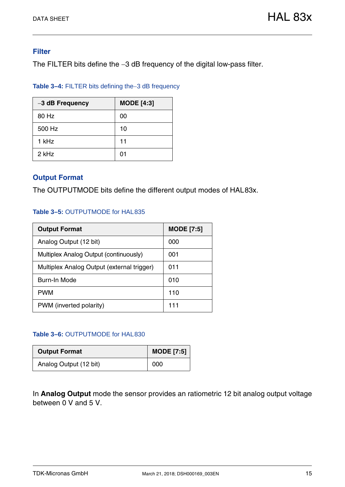#### **Filter**

The FILTER bits define the -3 dB frequency of the digital low-pass filter.

| Table 3-4: FILTER bits defining the-3 dB frequency |  |  |
|----------------------------------------------------|--|--|
|----------------------------------------------------|--|--|

| -3 dB Frequency | <b>MODE</b> [4:3] |
|-----------------|-------------------|
| 80 Hz           | 00                |
| 500 Hz          | 10                |
| 1 kHz           | 11                |
| 2 kHz           | 01                |

#### **Output Format**

The OUTPUTMODE bits define the different output modes of HAL83x.

#### **Table 3–5:** OUTPUTMODE for HAL835

| <b>Output Format</b>                       | <b>MODE</b> [7:5] |
|--------------------------------------------|-------------------|
| Analog Output (12 bit)                     | 000               |
| Multiplex Analog Output (continuously)     | 001               |
| Multiplex Analog Output (external trigger) | 011               |
| <b>Burn-In Mode</b>                        | 010               |
| <b>PWM</b>                                 | 110               |
| PWM (inverted polarity)                    | 111               |

#### **Table 3–6:** OUTPUTMODE for HAL830

| <b>Output Format</b>   | <b>MODE</b> [7:5] |
|------------------------|-------------------|
| Analog Output (12 bit) | 000               |

In **Analog Output** mode the sensor provides an ratiometric 12 bit analog output voltage between 0 V and 5 V.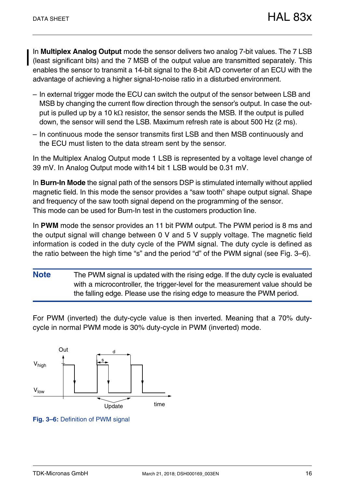In **Multiplex Analog Output** mode the sensor delivers two analog 7-bit values. The 7 LSB (least significant bits) and the 7 MSB of the output value are transmitted separately. This enables the sensor to transmit a 14-bit signal to the 8-bit A/D converter of an ECU with the advantage of achieving a higher signal-to-noise ratio in a disturbed environment.

- In external trigger mode the ECU can switch the output of the sensor between LSB and MSB by changing the current flow direction through the sensor's output. In case the output is pulled up by a 10 k $\Omega$  resistor, the sensor sends the MSB. If the output is pulled down, the sensor will send the LSB. Maximum refresh rate is about 500 Hz (2 ms).
- In continuous mode the sensor transmits first LSB and then MSB continuously and the ECU must listen to the data stream sent by the sensor.

In the Multiplex Analog Output mode 1 LSB is represented by a voltage level change of 39 mV. In Analog Output mode with14 bit 1 LSB would be 0.31 mV.

In **Burn-In Mode** the signal path of the sensors DSP is stimulated internally without applied magnetic field. In this mode the sensor provides a "saw tooth" shape output signal. Shape and frequency of the saw tooth signal depend on the programming of the sensor. This mode can be used for Burn-In test in the customers production line.

In **PWM** mode the sensor provides an 11 bit PWM output. The PWM period is 8 ms and the output signal will change between 0 V and 5 V supply voltage. The magnetic field information is coded in the duty cycle of the PWM signal. The duty cycle is defined as the ratio between the high time "s" and the period "d" of the PWM signal (see [Fig. 3–6\)](#page-15-0).

**Note** The PWM signal is updated with the rising edge. If the duty cycle is evaluated with a microcontroller, the trigger-level for the measurement value should be the falling edge. Please use the rising edge to measure the PWM period.

For PWM (inverted) the duty-cycle value is then inverted. Meaning that a 70% dutycycle in normal PWM mode is 30% duty-cycle in PWM (inverted) mode.



<span id="page-15-0"></span>**Fig. 3–6:** Definition of PWM signal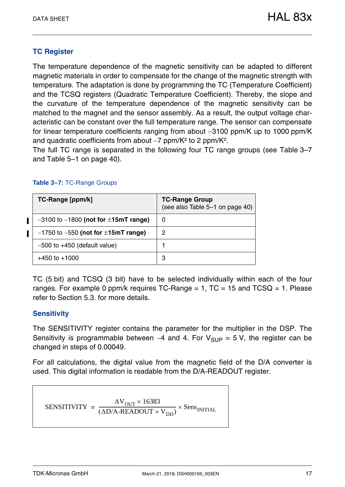#### **TC Register**

The temperature dependence of the magnetic sensitivity can be adapted to different magnetic materials in order to compensate for the change of the magnetic strength with temperature. The adaptation is done by programming the TC (Temperature Coefficient) and the TCSQ registers (Quadratic Temperature Coefficient). Thereby, the slope and the curvature of the temperature dependence of the magnetic sensitivity can be matched to the magnet and the sensor assembly. As a result, the output voltage characteristic can be constant over the full temperature range. The sensor can compensate for linear temperature coefficients ranging from about -3100 ppm/K up to 1000 ppm/K and quadratic coefficients from about  $-7$  ppm/K<sup>2</sup> to 2 ppm/K<sup>2</sup>.

The full TC range is separated in the following four TC range groups (see [Table 3–7](#page-16-0) and [Table 5–1 on page 40\)](#page-39-1).

#### <span id="page-16-1"></span><span id="page-16-0"></span>**Table 3–7:** TC-Range Groups

| TC-Range [ppm/k]                              | <b>TC-Range Group</b><br>(see also Table 5-1 on page 40) |
|-----------------------------------------------|----------------------------------------------------------|
| $-3100$ to $-1800$ (not for $\pm$ 15mT range) | 0                                                        |
| $-1750$ to $-550$ (not for $\pm$ 15mT range)  | 2                                                        |
| $-500$ to $+450$ (default value)              |                                                          |
| $+450$ to $+1000$                             | 3                                                        |

TC (5 bit) and TCSQ (3 bit) have to be selected individually within each of the four ranges. For example 0 ppm/k requires  $TC$ -Range = 1,  $TC$  = 15 and  $TCSQ$  = 1. Please refer to [Section 5.3.](#page-39-2) for more details.

#### **Sensitivity**

The SENSITIVITY register contains the parameter for the multiplier in the DSP. The Sensitivity is programmable between -4 and 4. For  $V_{SUP} = 5 V$ , the register can be changed in steps of 0.00049.

For all calculations, the digital value from the magnetic field of the D/A converter is used. This digital information is readable from the D/A-READOUT register.

$$
SENSTITIVITY = \frac{\Delta V_{OUT} \times 16383}{(\Delta D/A - READOUT \times V_{DD})} \times Sens_{INITIAL}
$$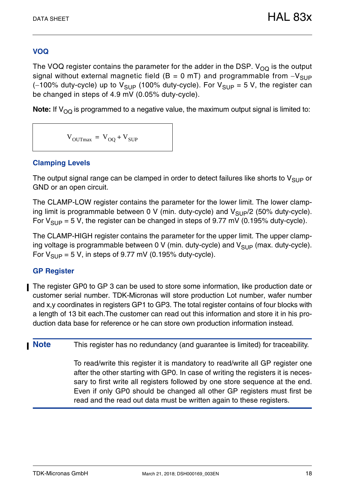### **VOQ**

The VOQ register contains the parameter for the adder in the DSP.  $V_{OO}$  is the output signal without external magnetic field ( $B = 0$  mT) and programmable from  $-V_{SUP}$ (-100% duty-cycle) up to  $V_{SUP}$  (100% duty-cycle). For  $V_{SUP} = 5$  V, the register can be changed in steps of 4.9 mV (0.05% duty-cycle).

**Note:** If  $V_{\text{OQ}}$  is programmed to a negative value, the maximum output signal is limited to:

 $V_{\text{OUTmax}} = V_{\text{OO}} + V_{\text{SUP}}$ 

#### **Clamping Levels**

The output signal range can be clamped in order to detect failures like shorts to  $V_{SUP}$  or GND or an open circuit.

The CLAMP-LOW register contains the parameter for the lower limit. The lower clamping limit is programmable between 0 V (min. duty-cycle) and  $V_{\text{SUP}}/2$  (50% duty-cycle). For  $V_{\text{SUP}} = 5$  V, the register can be changed in steps of 9.77 mV (0.195% duty-cycle).

The CLAMP-HIGH register contains the parameter for the upper limit. The upper clamping voltage is programmable between 0 V (min. duty-cycle) and  $V_{\text{SUP}}$  (max. duty-cycle). For  $V_{\text{SUP}} = 5$  V, in steps of 9.77 mV (0.195% duty-cycle).

#### **GP Register**

The register GP0 to GP 3 can be used to store some information, like production date or customer serial number. TDK-Micronas will store production Lot number, wafer number and x,y coordinates in registers GP1 to GP3. The total register contains of four blocks with a length of 13 bit each.The customer can read out this information and store it in his production data base for reference or he can store own production information instead.

**Note** This register has no redundancy (and guarantee is limited) for traceability.

To read/write this register it is mandatory to read/write all GP register one after the other starting with GP0. In case of writing the registers it is necessary to first write all registers followed by one store sequence at the end. Even if only GP0 should be changed all other GP registers must first be read and the read out data must be written again to these registers.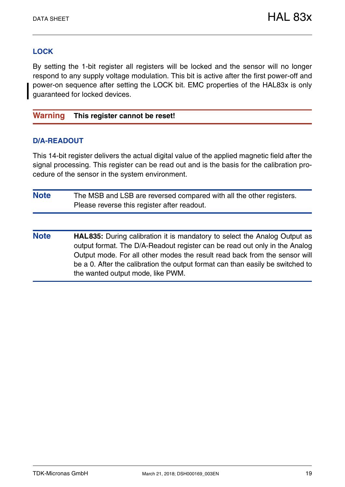#### **LOCK**

By setting the 1-bit register all registers will be locked and the sensor will no longer respond to any supply voltage modulation. This bit is active after the first power-off and power-on sequence after setting the LOCK bit. EMC properties of the HAL83x is only guaranteed for locked devices.

#### **Warning This register cannot be reset!**

#### **D/A-READOUT**

This 14-bit register delivers the actual digital value of the applied magnetic field after the signal processing. This register can be read out and is the basis for the calibration procedure of the sensor in the system environment.

| <b>Note</b> | The MSB and LSB are reversed compared with all the other registers. |
|-------------|---------------------------------------------------------------------|
|             | Please reverse this register after readout.                         |

**Note HAL835:** During calibration it is mandatory to select the Analog Output as output format. The D/A-Readout register can be read out only in the Analog Output mode. For all other modes the result read back from the sensor will be a 0. After the calibration the output format can than easily be switched to the wanted output mode, like PWM.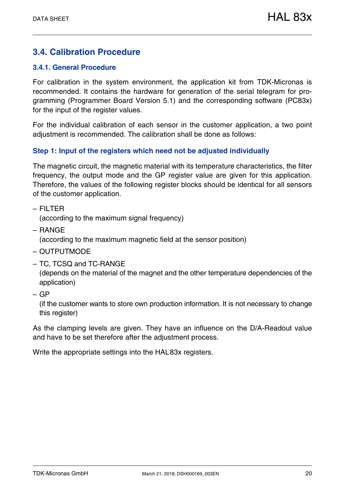## <span id="page-19-0"></span>**3.4. Calibration Procedure**

#### <span id="page-19-2"></span><span id="page-19-1"></span>**3.4.1. General Procedure**

For calibration in the system environment, the application kit from TDK-Micronas is recommended. It contains the hardware for generation of the serial telegram for programming (Programmer Board Version 5.1) and the corresponding software (PC83x) for the input of the register values.

For the individual calibration of each sensor in the customer application, a two point adjustment is recommended. The calibration shall be done as follows:

#### **Step 1: Input of the registers which need not be adjusted individually**

The magnetic circuit, the magnetic material with its temperature characteristics, the filter frequency, the output mode and the GP register value are given for this application. Therefore, the values of the following register blocks should be identical for all sensors of the customer application.

– FILTER

(according to the maximum signal frequency)

- RANGE (according to the maximum magnetic field at the sensor position)
- OUTPUTMODE
- TC, TCSQ and TC-RANGE

(depends on the material of the magnet and the other temperature dependencies of the application)

– GP

(if the customer wants to store own production information. It is not necessary to change this register)

As the clamping levels are given. They have an influence on the D/A-Readout value and have to be set therefore after the adjustment process.

Write the appropriate settings into the HAL83x registers.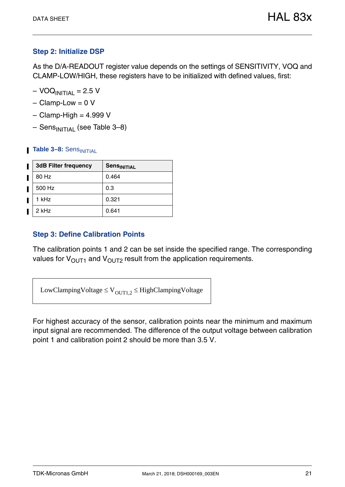#### **Step 2: Initialize DSP**

As the D/A-READOUT register value depends on the settings of SENSITIVITY, VOQ and CLAMP-LOW/HIGH, these registers have to be initialized with defined values, first:

- $VOQ<sub>INITIAL</sub> = 2.5 V$
- $-$  Clamp-Low = 0 V
- $-$  Clamp-High = 4.999 V
- <span id="page-20-1"></span> $-$  Sens<sub>INITIAI</sub> (see [Table 3–8\)](#page-20-0)

#### <span id="page-20-0"></span>**Table 3-8: Sens**INITIAL

| <b>3dB Filter frequency</b> | Sens <sub>INITIAL</sub> |
|-----------------------------|-------------------------|
| 80 Hz                       | 0.464                   |
| 500 Hz                      | 0.3                     |
| 1 kHz                       | 0.321                   |
| 2 kHz                       | 0.641                   |

#### **Step 3: Define Calibration Points**

The calibration points 1 and 2 can be set inside the specified range. The corresponding values for  $V_{\text{OUT1}}$  and  $V_{\text{OUT2}}$  result from the application requirements.

LowClampingVoltage  $\leq$  V<sub>OUT1.2</sub>  $\leq$  HighClampingVoltage

For highest accuracy of the sensor, calibration points near the minimum and maximum input signal are recommended. The difference of the output voltage between calibration point 1 and calibration point 2 should be more than 3.5 V.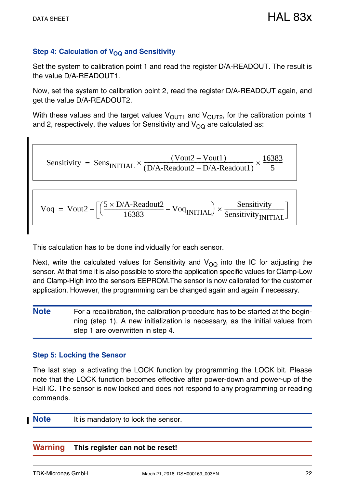#### **Step 4: Calculation of V<sub>OQ</sub> and Sensitivity**

Set the system to calibration point 1 and read the register D/A-READOUT. The result is the value D/A-READOUT1.

Now, set the system to calibration point 2, read the register D/A-READOUT again, and get the value D/A-READOUT2.

With these values and the target values  $V_{\text{OUT1}}$  and  $V_{\text{OUT2}}$ , for the calibration points 1 and 2, respectively, the values for Sensitivity and  $V_{\Omega\Omega}$  are calculated as:

Sensitivity = Sens  
INITIAL 
$$
\times \frac{(Vout2 - Vout1)}{(D/A\text{-Readout2} - D/A\text{-Readout1})} \times \frac{16383}{5}
$$

$$
Voq = Vout2 - \left[ \left( \frac{5 \times D/A - Readout2}{16383} - VoqINITIAL \right) \times \frac{Sensitivity}{SensitivityINITIAL} \right]
$$

This calculation has to be done individually for each sensor.

Next, write the calculated values for Sensitivity and  $V_{\Omega}$  into the IC for adjusting the sensor. At that time it is also possible to store the application specific values for Clamp-Low and Clamp-High into the sensors EEPROM.The sensor is now calibrated for the customer application. However, the programming can be changed again and again if necessary.

**Note** For a recalibration, the calibration procedure has to be started at the beginning (step 1). A new initialization is necessary, as the initial values from step 1 are overwritten in step 4.

#### **Step 5: Locking the Sensor**

The last step is activating the LOCK function by programming the LOCK bit. Please note that the LOCK function becomes effective after power-down and power-up of the Hall IC. The sensor is now locked and does not respond to any programming or reading commands.

**Note** It is mandatory to lock the sensor.

#### **Warning This register can not be reset!**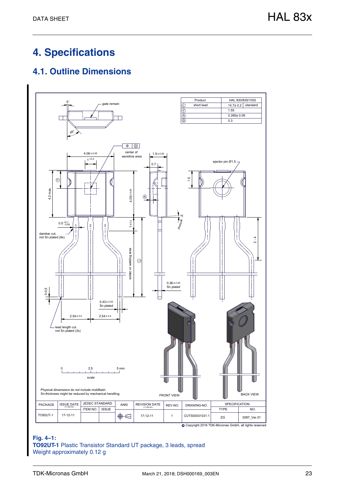## <span id="page-22-0"></span>**4. Specifications**

## <span id="page-22-1"></span>**4.1. Outline Dimensions**



**Fig. 4–1: TO92UT-1** Plastic Transistor Standard UT package, 3 leads, spread Weight approximately 0.12 g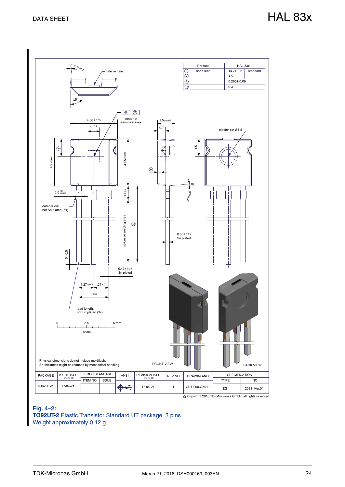

c Copyright 2016 TDK-Micronas GmbH, all rights reserved

#### **Fig. 4–2: TO92UT-2** Plastic Transistor Standard UT package, 3 pins Weight approximately 0.12 g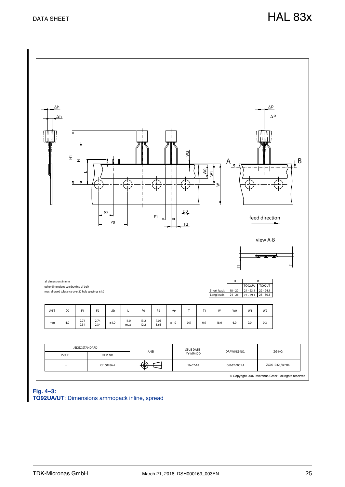

**Fig. 4–3: TO92UA/UT**: Dimensions ammopack inline, spread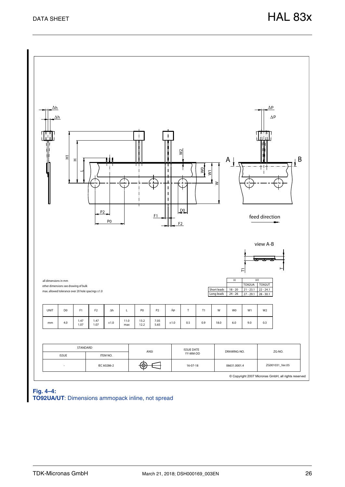

**Fig. 4–4: TO92UA/UT**: Dimensions ammopack inline, not spread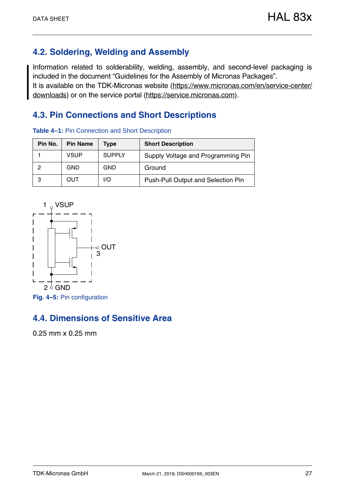## <span id="page-26-3"></span><span id="page-26-0"></span>**4.2. Soldering, Welding and Assembly**

**Table 4–1:** Pin Connection and Short Description

Information related to solderability, welding, assembly, and second-level packaging is included in the document "Guidelines for the Assembly of Micronas Packages". It is available on the TDK-Micronas website (https://www.micronas.com/en/service-center/ downloads) or on the service portal (https://service.micronas.com).

## <span id="page-26-1"></span>**4.3. Pin Connections and Short Descriptions**

| Pin No. | <b>Pin Name</b> | Type          | <b>Short Description</b>                  |  |  |  |
|---------|-----------------|---------------|-------------------------------------------|--|--|--|
|         | <b>VSUP</b>     | <b>SUPPLY</b> | Supply Voltage and Programming Pin        |  |  |  |
|         | <b>GND</b>      | <b>GND</b>    | Ground                                    |  |  |  |
| 3       | OUT             | I/O           | <b>Push-Pull Output and Selection Pin</b> |  |  |  |



<span id="page-26-2"></span>**4.4. Dimensions of Sensitive Area**

0.25 mm x 0.25 mm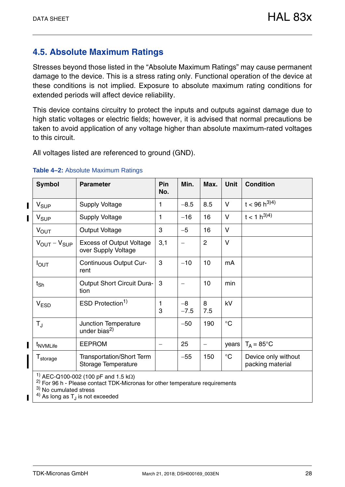## <span id="page-27-0"></span>**4.5. Absolute Maximum Ratings**

Stresses beyond those listed in the "Absolute Maximum Ratings" may cause permanent damage to the device. This is a stress rating only. Functional operation of the device at these conditions is not implied. Exposure to absolute maximum rating conditions for extended periods will affect device reliability.

This device contains circuitry to protect the inputs and outputs against damage due to high static voltages or electric fields; however, it is advised that normal precautions be taken to avoid application of any voltage higher than absolute maximum-rated voltages to this circuit.

All voltages listed are referenced to ground (GND).

| <b>Symbol</b>                     | <b>Parameter</b>                                        | Pin<br>No. | Min.           | Max.                     | <b>Unit</b>     | <b>Condition</b>                        |
|-----------------------------------|---------------------------------------------------------|------------|----------------|--------------------------|-----------------|-----------------------------------------|
| $V_{SUP}$                         | <b>Supply Voltage</b>                                   | 1          | $-8.5$         | 8.5                      | $\vee$          | $t < 96 h^{3/4}$                        |
| V <sub>SUP</sub>                  | <b>Supply Voltage</b>                                   | 1          | $-16$          | 16                       | $\vee$          | $t < 1 h^{3/4}$                         |
| <b>VOUT</b>                       | <b>Output Voltage</b>                                   | 3          | $-5$           | 16                       | $\vee$          |                                         |
| $V_{\text{OUT}} - V_{\text{SUP}}$ | <b>Excess of Output Voltage</b><br>over Supply Voltage  | 3,1        |                | 2                        | $\vee$          |                                         |
| $I_{\text{OUT}}$                  | Continuous Output Cur-<br>rent                          | 3          | $-10$          | 10                       | mA              |                                         |
| $t_{\mathsf{Sh}}$                 | <b>Output Short Circuit Dura-</b><br>tion               | 3          |                | 10                       | min             |                                         |
| V <sub>ESD</sub>                  | ESD Protection <sup>1)</sup>                            | 1<br>3     | $-8$<br>$-7.5$ | 8<br>7.5                 | kV              |                                         |
| $T_{\rm J}$                       | Junction Temperature<br>under bias <sup>2)</sup>        |            | $-50$          | 190                      | $\rm ^{\circ}C$ |                                         |
| t <sub>NVMLife</sub>              | <b>EEPROM</b>                                           |            | 25             | $\overline{\phantom{m}}$ | years           | $T_A = 85^{\circ}$ C                    |
| T <sub>storage</sub>              | <b>Transportation/Short Term</b><br>Storage Temperature |            | $-55$          | 150                      | $^{\circ}C$     | Device only without<br>packing material |
|                                   | <sup>1)</sup> AEC-Q100-002 (100 pF and 1.5 k $\Omega$ ) |            |                |                          |                 |                                         |

#### <span id="page-27-1"></span>**Table 4–2:** Absolute Maximum Ratings

 $2)$  For 96 h - Please contact TDK-Micronas for other temperature requirements

3) No cumulated stress

 $4)$  As long as T<sub>J</sub> is not exceeded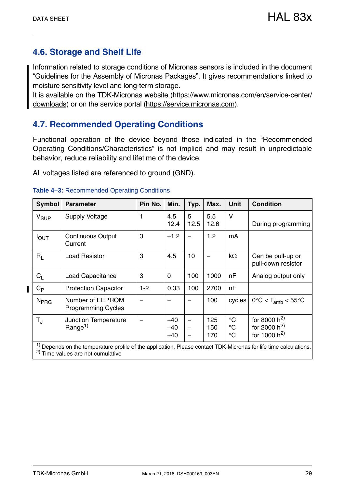## <span id="page-28-3"></span><span id="page-28-0"></span>**4.6. Storage and Shelf Life**

Information related to storage conditions of Micronas sensors is included in the document "Guidelines for the Assembly of Micronas Packages". It gives recommendations linked to moisture sensitivity level and long-term storage.

It is available on the TDK-Micronas website (https://www.micronas.com/en/service-center/ downloads) or on the service portal (https://service.micronas.com).

## <span id="page-28-1"></span>**4.7. Recommended Operating Conditions**

Functional operation of the device beyond those indicated in the "Recommended Operating Conditions/Characteristics" is not implied and may result in unpredictable behavior, reduce reliability and lifetime of the device.

All voltages listed are referenced to ground (GND).

| <b>Symbol</b>    | <b>Parameter</b>                                                                                                                                                             | Pin No. | Min.                    | Typ.                             | Max.              | <b>Unit</b>                                       | <b>Condition</b>                                         |
|------------------|------------------------------------------------------------------------------------------------------------------------------------------------------------------------------|---------|-------------------------|----------------------------------|-------------------|---------------------------------------------------|----------------------------------------------------------|
| V <sub>SUP</sub> | <b>Supply Voltage</b>                                                                                                                                                        |         | 4.5<br>12.4             | 5<br>12.5                        | 5.5<br>12.6       | $\vee$                                            | During programming                                       |
| $I_{\text{OUT}}$ | <b>Continuous Output</b><br>Current                                                                                                                                          | 3       | $-1.2$                  |                                  | 1.2               | mA                                                |                                                          |
| $R_{\rm I}$      | <b>Load Resistor</b>                                                                                                                                                         | 3       | 4.5                     | 10                               |                   | $k\Omega$                                         | Can be pull-up or<br>pull-down resistor                  |
| $C_{L}$          | <b>Load Capacitance</b>                                                                                                                                                      | 3       | $\mathbf 0$             | 100                              | 1000              | nF                                                | Analog output only                                       |
| $C_{\mathsf P}$  | <b>Protection Capacitor</b>                                                                                                                                                  | $1 - 2$ | 0.33                    | 100                              | 2700              | nF                                                |                                                          |
| N <sub>PRG</sub> | Number of EEPROM<br><b>Programming Cycles</b>                                                                                                                                |         |                         |                                  | 100               | cycles                                            | $0^{\circ}$ C < T <sub>amb</sub> < $55^{\circ}$ C        |
| $T_{\rm J}$      | Junction Temperature<br>Range <sup>1)</sup>                                                                                                                                  |         | $-40$<br>$-40$<br>$-40$ | $\overbrace{\phantom{12322111}}$ | 125<br>150<br>170 | $\rm ^{\circ}C$<br>$^{\circ}C$<br>$\rm ^{\circ}C$ | for 8000 $h^{2}$<br>for 2000 $h^{2}$<br>for 1000 $h^{2}$ |
|                  | <sup>1)</sup> Depends on the temperature profile of the application. Please contact TDK-Micronas for life time calculations.<br><sup>2)</sup> Time values are not cumulative |         |                         |                                  |                   |                                                   |                                                          |

<span id="page-28-2"></span>**Table 4–3:** Recommended Operating Conditions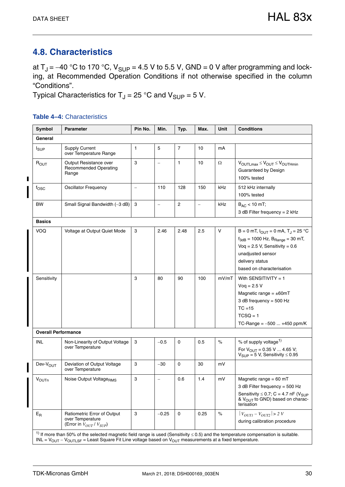## <span id="page-29-1"></span><span id="page-29-0"></span>**4.8. Characteristics**

at  $T_J = -40$  °C to 170 °C,  $V_{SUP} = 4.5$  V to 5.5 V, GND = 0 V after programming and locking, at Recommended Operation Conditions if not otherwise specified in the column "Conditions".

Typical Characteristics for  $T_J = 25$  °C and  $V_{\text{SUP}} = 5$  V.

#### <span id="page-29-2"></span>**Table 4–4:** Characteristics

| Symbol                     | <b>Parameter</b>                                                                   | Pin No.      | Min.                     | Typ.           | Max.              | <b>Unit</b> | <b>Conditions</b>                                                                                                                                                                                          |
|----------------------------|------------------------------------------------------------------------------------|--------------|--------------------------|----------------|-------------------|-------------|------------------------------------------------------------------------------------------------------------------------------------------------------------------------------------------------------------|
| General                    |                                                                                    |              |                          |                |                   |             |                                                                                                                                                                                                            |
| $I_{SUP}$                  | <b>Supply Current</b><br>over Temperature Range                                    | $\mathbf{1}$ | 5                        | $\overline{7}$ | 10                | mA          |                                                                                                                                                                                                            |
| ROUT                       | Output Resistance over<br><b>Recommended Operating</b><br>Range                    | 3            | $\overline{\phantom{0}}$ | $\mathbf{1}$   | 10                | $\Omega$    | $V_{OUTLmax} \leq V_{OUT} \leq V_{OUTHmin}$<br>Guaranteed by Design<br>100% tested                                                                                                                         |
| fosc                       | <b>Oscillator Frequency</b>                                                        | $\equiv$     | 110                      | 128            | 150               | kHz         | 512 kHz internally<br>100% tested                                                                                                                                                                          |
| <b>BW</b>                  | Small Signal Bandwidth (-3 dB)                                                     | 3            | ÷                        | 2              | $\qquad \qquad -$ | kHz         | $B_{AC}$ < 10 mT;<br>3 dB Filter frequency = 2 kHz                                                                                                                                                         |
| <b>Basics</b>              |                                                                                    |              |                          |                |                   |             |                                                                                                                                                                                                            |
| VOQ                        | Voltage at Output Quiet Mode                                                       | 3            | 2.46                     | 2.48           | 2.5               | $\vee$      | B = 0 mT, $I_{OUT}$ = 0 mA, T <sub>J</sub> = 25 °C<br>$f_{3dB} = 1000$ Hz, $B_{Range} = 30$ mT,<br>Voq = $2.5$ V, Sensitivity = $0.6$<br>unadjusted sensor<br>delivery status<br>based on characterisation |
| Sensitivity                |                                                                                    | 3            | 80                       | 90             | 100               | mV/mT       | With SENSITIVITY = $1$<br>$Voq = 2.5 V$<br>Magnetic range = $\pm$ 60mT<br>3 dB frequency = 500 Hz<br>$TC = 15$<br>$TCSQ = 1$<br>TC-Range = $-500$ +450 ppm/K                                               |
| <b>Overall Performance</b> |                                                                                    |              |                          |                |                   |             |                                                                                                                                                                                                            |
| <b>INL</b>                 | Non-Linearity of Output Voltage<br>over Temperature                                | 3            | $-0.5$                   | 0              | 0.5               | $\%$        | % of supply voltage <sup>1)</sup><br>For $V_{\text{OUT}} = 0.35 \text{ V} \dots 4.65 \text{ V};$<br>$V_{\text{SUP}} = 5$ V, Sensitivity $\leq 0.95$                                                        |
| Dev-V <sub>OUT</sub>       | Deviation of Output Voltage<br>over Temperature                                    | 3            | $-30$                    | 0              | 30                | mV          |                                                                                                                                                                                                            |
| VOUTn                      | Noise Output VoltageRMS                                                            | 3            | $\qquad \qquad -$        | 0.6            | 1.4               | mV          | Magnetic range = $60$ mT<br>3 dB Filter frequency = 500 Hz<br>Sensitivity $\leq$ 0.7; C = 4.7 nF (V <sub>SUP</sub><br>& $V_{\text{OUT}}$ to GND) based on charac-<br>terisation                            |
| $E_R$                      | Ratiometric Error of Output<br>over Temperature<br>(Error in $V_{OUT} / V_{SUP}$ ) | 3            | $-0.25$                  | 0              | 0.25              | $\%$        | $ V_{OUTI} - V_{OUT2}  > 2 V$<br>during calibration procedure                                                                                                                                              |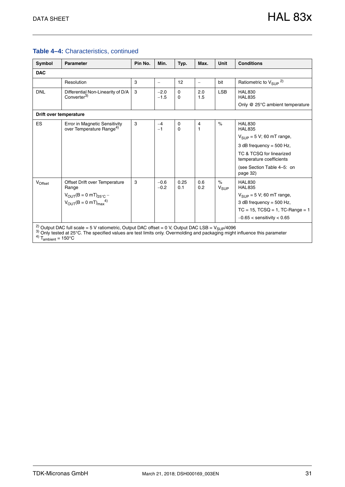#### **Table 4–4:** Characteristics, continued

| Symbol                                             | <b>Parameter</b>                                                                                                                                                                                                                                      | Pin No. | Min.             | Typ.          | Max.                           | <b>Unit</b>        | <b>Conditions</b>                                    |  |  |  |  |
|----------------------------------------------------|-------------------------------------------------------------------------------------------------------------------------------------------------------------------------------------------------------------------------------------------------------|---------|------------------|---------------|--------------------------------|--------------------|------------------------------------------------------|--|--|--|--|
| <b>DAC</b>                                         |                                                                                                                                                                                                                                                       |         |                  |               |                                |                    |                                                      |  |  |  |  |
|                                                    | Resolution                                                                                                                                                                                                                                            | 3       |                  | 12            | $\overline{\phantom{a}}$       | bit                | Ratiometric to $V_{\text{SUP}}{}^{2)}$               |  |  |  |  |
| <b>DNL</b>                                         | Differential Non-Linearity of D/A<br>Converter <sup>3)</sup>                                                                                                                                                                                          | 3       | $-2.0$<br>$-1.5$ | 0<br>$\Omega$ | 2.0<br>1.5                     | <b>LSB</b>         | <b>HAL830</b><br><b>HAL835</b>                       |  |  |  |  |
|                                                    |                                                                                                                                                                                                                                                       |         |                  |               |                                |                    | Only @ 25°C ambient temperature                      |  |  |  |  |
|                                                    | Drift over temperature                                                                                                                                                                                                                                |         |                  |               |                                |                    |                                                      |  |  |  |  |
| <b>ES</b>                                          | Error in Magnetic Sensitivity<br>over Temperature Range <sup>4)</sup>                                                                                                                                                                                 | 3       | $-4$<br>$-1$     | 0<br>0        | $\overline{4}$<br>$\mathbf{1}$ | $\%$               | <b>HAL830</b><br><b>HAL835</b>                       |  |  |  |  |
|                                                    |                                                                                                                                                                                                                                                       |         |                  |               |                                |                    | $V_{SIIP}$ = 5 V; 60 mT range,                       |  |  |  |  |
|                                                    |                                                                                                                                                                                                                                                       |         |                  |               |                                |                    | 3 dB frequency = $500$ Hz,                           |  |  |  |  |
|                                                    |                                                                                                                                                                                                                                                       |         |                  |               |                                |                    | TC & TCSQ for linearized<br>temperature coefficients |  |  |  |  |
|                                                    |                                                                                                                                                                                                                                                       |         |                  |               |                                |                    | (see Section Table 4-5: on<br>page 32)               |  |  |  |  |
| VOffset                                            | Offset Drift over Temperature<br>Range                                                                                                                                                                                                                | 3       | $-0.6$<br>$-0.2$ | 0.25<br>0.1   | 0.6<br>0.2                     | $\%$<br>$V_{SIIP}$ | <b>HAL830</b><br><b>HAL835</b>                       |  |  |  |  |
|                                                    | $V_{OUT}(B = 0 mT)_{25°C}$ –                                                                                                                                                                                                                          |         |                  |               |                                |                    | $V_{SIIP}$ = 5 V; 60 mT range,                       |  |  |  |  |
|                                                    | $V_{OUT}(B = 0 mT)_{max}^{4}$                                                                                                                                                                                                                         |         |                  |               |                                |                    | 3 dB frequency = $500$ Hz,                           |  |  |  |  |
|                                                    |                                                                                                                                                                                                                                                       |         |                  |               |                                |                    | $TC = 15$ , $TCSQ = 1$ , $TC$ -Range = 1             |  |  |  |  |
|                                                    |                                                                                                                                                                                                                                                       |         |                  |               |                                |                    | $-0.65 <$ sensitivity $< 0.65$                       |  |  |  |  |
| <sup>4)</sup> $T_{\text{ambient}} = 150^{\circ}$ C | <sup>2)</sup> Output DAC full scale = 5 V ratiometric, Output DAC offset = 0 V, Output DAC LSB = $V_{\text{SUP}}/4096$<br>3) Only tested at 25°C. The specified values are test limits only. Overmolding and packaging might influence this parameter |         |                  |               |                                |                    |                                                      |  |  |  |  |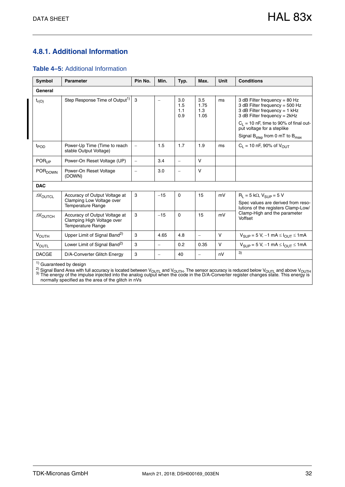#### <span id="page-31-0"></span>**4.8.1. Additional Information**

<span id="page-31-1"></span>

|  |  | <b>Table 4–5: Additional Information</b> |  |  |
|--|--|------------------------------------------|--|--|
|--|--|------------------------------------------|--|--|

| Symbol                 | <b>Parameter</b>                                                                        | Pin No.                  | Min.                     | Typ.                     | Max.                       | <b>Unit</b> | <b>Conditions</b>                                                                                                                                                                                                                                          |
|------------------------|-----------------------------------------------------------------------------------------|--------------------------|--------------------------|--------------------------|----------------------------|-------------|------------------------------------------------------------------------------------------------------------------------------------------------------------------------------------------------------------------------------------------------------------|
| General                |                                                                                         |                          |                          |                          |                            |             |                                                                                                                                                                                                                                                            |
| $t_{r(O)}$             | Step Response Time of Output <sup>1)</sup>                                              | 3                        | $\qquad \qquad -$        | 3.0<br>1.5<br>1.1<br>0.9 | 3.5<br>1.75<br>1.3<br>1.05 | ms          | 3 dB Filter frequency = $80$ Hz<br>3 dB Filter frequency = 500 Hz<br>3 dB Filter frequency = 1 kHz<br>3 dB Filter frequency = $2kHz$<br>$C_L$ = 10 nF, time to 90% of final out-<br>put voltage for a steplike<br>Signal $B_{step}$ from 0 mT to $B_{max}$ |
| $t_{\text{POD}}$       | Power-Up Time (Time to reach<br>stable Output Voltage)                                  | $\equiv$                 | 1.5                      | 1.7                      | 1.9                        | ms          | $C_1 = 10 \text{ nF}$ , 90% of $V_{\text{OUT}}$                                                                                                                                                                                                            |
| POR <sub>UP</sub>      | Power-On Reset Voltage (UP)                                                             | $\equiv$                 | 3.4                      | $\equiv$                 | $\vee$                     |             |                                                                                                                                                                                                                                                            |
| POR <sub>DOWN</sub>    | Power-On Reset Voltage<br>(DOWN)                                                        | $\overline{\phantom{m}}$ | 3.0                      | $\equiv$                 | $\vee$                     |             |                                                                                                                                                                                                                                                            |
| <b>DAC</b>             |                                                                                         |                          |                          |                          |                            |             |                                                                                                                                                                                                                                                            |
| <b>AVOUTCL</b>         | Accuracy of Output Voltage at<br>Clamping Low Voltage over<br><b>Temperature Range</b>  | 3                        | $-15$                    | $\Omega$                 | 15                         | mV          | $R_1 = 5 k\Omega$ , $V_{SUP} = 5 V$<br>Spec values are derived from reso-<br>lutions of the registers Clamp-Low/                                                                                                                                           |
| $\Delta V_{\rm OUTCH}$ | Accuracy of Output Voltage at<br>Clamping High Voltage over<br><b>Temperature Range</b> | 3                        | $-15$                    | $\Omega$                 | 15                         | mV          | Clamp-High and the parameter<br>Voffset                                                                                                                                                                                                                    |
| <b>VOUTH</b>           | Upper Limit of Signal Band <sup>2)</sup>                                                | 3                        | 4.65                     | 4.8                      | $\equiv$                   | V           | $V_{SUP} = 5 V, -1 mA \leq I_{OUT} \leq 1 mA$                                                                                                                                                                                                              |
| <b>VOUTL</b>           | Lower Limit of Signal Band <sup>2)</sup>                                                | 3                        | $\overline{\phantom{0}}$ | 0.2                      | 0.35                       | V           | $V_{SIIP}$ = 5 V, -1 mA $\leq$ $I_{OIIT}$ $\leq$ 1 mA                                                                                                                                                                                                      |
| <b>DACGE</b>           | D/A-Converter Glitch Energy                                                             | 3                        | $\equiv$                 | 40                       | $\equiv$                   | nV          | 3)                                                                                                                                                                                                                                                         |

<sup>2)</sup> Signal Band Area with full accuracy is located between V<sub>OUTL</sub> and V<sub>OUTH</sub>. The sensor accuracy is reduced below V<sub>OUTL</sub> and above V<sub>OUTH</sub><br><sup>3)</sup> The energy of the impulse injected into the analog output when the code normally specified as the area of the glitch in nVs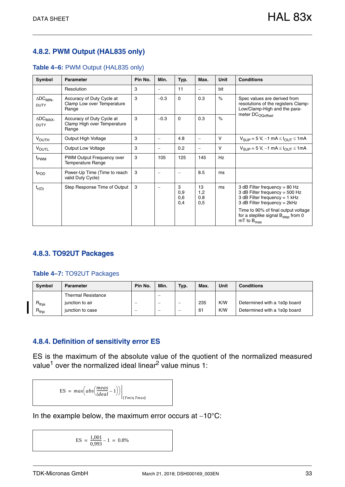### <span id="page-32-0"></span>**4.8.2. PWM Output (HAL835 only)**

#### **Table 4–6:** PWM Output (HAL835 only)

| Symbol                                        | <b>Parameter</b>                                                  | Pin No. | Min.                     | Typ.                   | Max.                     | Unit      | <b>Conditions</b>                                                                                                                    |
|-----------------------------------------------|-------------------------------------------------------------------|---------|--------------------------|------------------------|--------------------------|-----------|--------------------------------------------------------------------------------------------------------------------------------------|
|                                               | Resolution                                                        | 3       |                          | 11                     | $\qquad \qquad -$        | bit       |                                                                                                                                      |
| $\triangle$ DC <sub>MIN-</sub><br><b>DUTY</b> | Accuracy of Duty Cycle at<br>Clamp Low over Temperature<br>Range  | 3       | $-0.3$                   | $\Omega$               | 0.3                      | $\%$      | Spec values are derived from<br>resolutions of the registers Clamp-<br>Low/Clamp-High and the para-                                  |
| $\Delta$ DC <sub>MAX</sub> .<br><b>DUTY</b>   | Accuracy of Duty Cycle at<br>Clamp High over Temperature<br>Range | 3       | $-0.3$                   | $\Omega$               | 0.3                      | $\%$      | meter DC <sub>OQoffset</sub>                                                                                                         |
| <b>VOUTH</b>                                  | Output High Voltage                                               | 3       | $\overline{\phantom{m}}$ | 4.8                    | $\overline{\phantom{m}}$ | V         | $V_{\text{SUP}} = 5$ V, $-1$ mA $\leq$ $I_{\text{OUT}} \leq 1$ mA                                                                    |
| <b>VOUTL</b>                                  | Output Low Voltage                                                | 3       |                          | 0.2                    | $\qquad \qquad -$        | V         | $V_{\text{SUP}} = 5 \text{ V}, -1 \text{ mA} \leq I_{\text{OUT}} \leq 1 \text{ mA}$                                                  |
| f <sub>PWM</sub>                              | PWM Output Frequency over<br><b>Temperature Range</b>             | 3       | 105                      | 125                    | 145                      | <b>Hz</b> |                                                                                                                                      |
| t <sub>POD</sub>                              | Power-Up Time (Time to reach<br>valid Duty Cycle)                 | 3       |                          |                        | 8.5                      | ms        |                                                                                                                                      |
| $t_{r(O)}$                                    | Step Response Time of Output                                      | 3       |                          | 3<br>0,9<br>0,6<br>0,4 | 13<br>1,2<br>0.8<br>0,5  | ms        | 3 dB Filter frequency = $80$ Hz<br>3 dB Filter frequency = 500 Hz<br>3 dB Filter frequency = $1$ kHz<br>3 dB Filter frequency = 2kHz |
|                                               |                                                                   |         |                          |                        |                          |           | Time to 90% of final output voltage<br>for a steplike signal B <sub>step</sub> from 0<br>$mT$ to $B_{max}$                           |

#### <span id="page-32-1"></span>**4.8.3. TO92UT Packages**

#### **Table 4–7:** TO92UT Packages

| <b>Symbol</b>       | <b>Parameter</b>          | Pin No. | Min.                     | Typ. | Max. | Unit | <b>Conditions</b>            |
|---------------------|---------------------------|---------|--------------------------|------|------|------|------------------------------|
|                     | <b>Thermal Resistance</b> |         | $\overline{\phantom{0}}$ |      |      |      |                              |
| $R_{thja}$          | iunction to air           |         | —                        |      | 235  | K/W  | Determined with a 1s0p board |
| $R_{\mathsf{thic}}$ | junction to case          |         | —                        |      | 61   | K/W  | Determined with a 1s0p board |

#### <span id="page-32-2"></span>**4.8.4. Definition of sensitivity error ES**

ES is the maximum of the absolute value of the quotient of the normalized measured value<sup>1</sup> over the normalized ideal linear<sup>2</sup> value minus 1:

$$
ES = max\left(abs\left(\frac{meas}{ideal} - 1\right)\right)\Big|_{\{Tmin, Tmax\}}
$$

In the example below, the maximum error occurs at  $-10^{\circ}$ C:

 $ES = \frac{1,001}{0,993} - 1 = 0.8\%$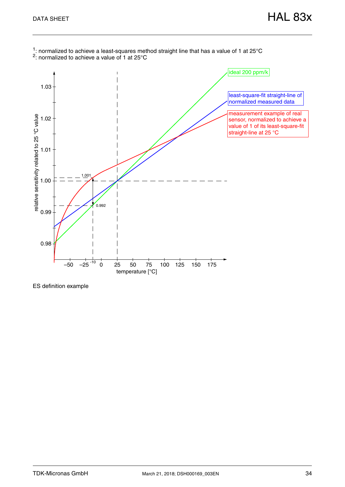

ES definition example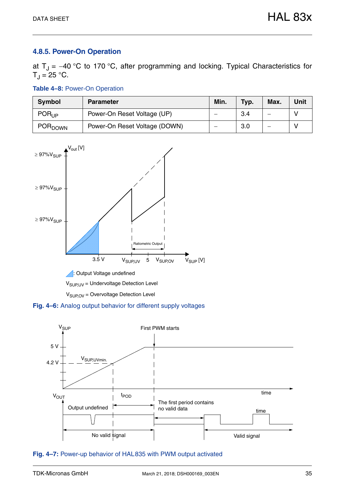#### <span id="page-34-0"></span>**4.8.5. Power-On Operation**

at  $T_{\rm J}$  = -40 °C to 170 °C, after programming and locking. Typical Characteristics for  $T_{\rm J}$  = 25 °C.

**Table 4–8:** Power-On Operation

| <b>Symbol</b>             | <b>Parameter</b>              | Min. | Typ. | Max. | Unit |
|---------------------------|-------------------------------|------|------|------|------|
| POR <sub>UP</sub>         | Power-On Reset Voltage (UP)   |      | 3.4  |      |      |
| <b>POR<sub>DOWN</sub></b> | Power-On Reset Voltage (DOWN) |      | 3.0  |      |      |



 $V<sub>SUPUV</sub>$  = Undervoltage Detection Level

 $V<sub>SUPOV</sub> = Overvoltage Detection Level$ 





**Fig. 4–7:** Power-up behavior of HAL835 with PWM output activated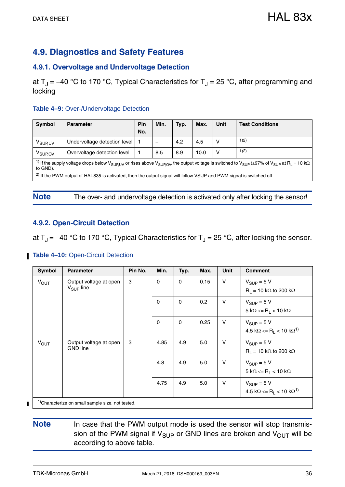## <span id="page-35-0"></span>**4.9. Diagnostics and Safety Features**

#### <span id="page-35-1"></span>**4.9.1. Overvoltage and Undervoltage Detection**

at  $T_J = -40$  °C to 170 °C, Typical Characteristics for  $T_J = 25$  °C, after programming and locking

#### **Table 4–9:** Over-/Undervoltage Detection

| <b>Symbol</b>                                                                                                                                                                                                              | <b>Parameter</b>                                                                                                               | Pin<br>No. | Min. | Typ. | Max. | <b>Unit</b> | <b>Test Conditions</b> |  |  |  |
|----------------------------------------------------------------------------------------------------------------------------------------------------------------------------------------------------------------------------|--------------------------------------------------------------------------------------------------------------------------------|------------|------|------|------|-------------|------------------------|--|--|--|
| V <sub>SUPUV</sub>                                                                                                                                                                                                         | Undervoltage detection level                                                                                                   |            |      | 4.2  | 4.5  |             | 1)2)                   |  |  |  |
|                                                                                                                                                                                                                            |                                                                                                                                |            |      |      |      |             |                        |  |  |  |
| V <sub>SUP.OV</sub>                                                                                                                                                                                                        | Overvoltage detection level                                                                                                    |            | 8.5  | 8.9  | 10.0 |             | 1)2)                   |  |  |  |
| <sup>1)</sup> If the supply voltage drops below V <sub>SUPLUV</sub> or rises above V <sub>SUPOV</sub> , the output voltage is switched to V <sub>SUP</sub> (≥97% of V <sub>SUP</sub> at R <sub>L</sub> = 10 kΩ<br>to GND). |                                                                                                                                |            |      |      |      |             |                        |  |  |  |
|                                                                                                                                                                                                                            | <sup>2)</sup> If the PWM output of HAL835 is activated, then the output signal will follow VSUP and PWM signal is switched off |            |      |      |      |             |                        |  |  |  |

#### Note The over- and undervoltage detection is activated only after locking the sensor!

#### <span id="page-35-2"></span>**4.9.2. Open-Circuit Detection**

at  $T_J = -40$  °C to 170 °C, Typical Characteristics for  $T_J = 25$  °C, after locking the sensor.

#### **Table 4-10: Open-Circuit Detection**

| Symbol           | <b>Parameter</b>                                  | Pin No. | Min.        | Typ.        | Max. | <b>Unit</b>                                         | <b>Comment</b>                                                                    |
|------------------|---------------------------------------------------|---------|-------------|-------------|------|-----------------------------------------------------|-----------------------------------------------------------------------------------|
| $V_{OUT}$        | Output voltage at open<br>$V_{\text{SUP}}$ line   | 3       | $\Omega$    | $\Omega$    | 0.15 | V                                                   | $V_{\text{SUP}} = 5 V$<br>$R_1 = 10 k\Omega$ to 200 k $\Omega$                    |
|                  |                                                   |         | $\mathbf 0$ | $\mathbf 0$ | 0.2  | $\vee$                                              | $V_{SIIP} = 5 V$<br>$5 k\Omega \le R_1 < 10 k\Omega$                              |
|                  |                                                   |         | $\mathbf 0$ | $\mathbf 0$ | 0.25 | $\vee$                                              | $V_{\text{SUP}} = 5 V$<br>$4.5 \text{ k}\Omega \leq R_1 < 10 \text{ k}\Omega^{1}$ |
| $V_{\text{OUT}}$ | Output voltage at open<br><b>GND</b> line         | 3       | 4.85        | 4.9         | 5.0  | $\vee$                                              | $V_{\text{SUP}} = 5 V$<br>$R_1 = 10 k\Omega$ to 200 k $\Omega$                    |
|                  |                                                   | 4.8     | 4.9         | 5.0         | V    | $V_{SUP} = 5 V$<br>$5 k\Omega \le R_1 < 10 k\Omega$ |                                                                                   |
|                  |                                                   |         | 4.75        | 4.9         | 5.0  | $\vee$                                              | $V_{\text{SUP}} = 5 V$<br>$4.5 \text{ k}\Omega \leq R_1 < 10 \text{ k}\Omega^{1}$ |
|                  | $1)$ Characterize on small sample size not tested |         |             |             |      |                                                     |                                                                                   |

<sup>1)</sup>Characterize on small sample size, not tested.

**Note** In case that the PWM output mode is used the sensor will stop transmission of the PWM signal if  $V_{\text{SUP}}$  or GND lines are broken and  $V_{\text{OUT}}$  will be according to above table.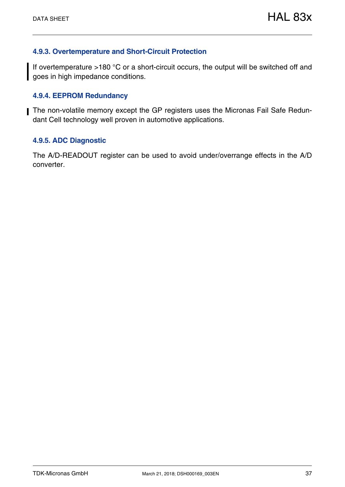#### <span id="page-36-0"></span>**4.9.3. Overtemperature and Short-Circuit Protection**

If overtemperature >180 °C or a short-circuit occurs, the output will be switched off and goes in high impedance conditions.

#### <span id="page-36-1"></span>**4.9.4. EEPROM Redundancy**

The non-volatile memory except the GP registers uses the Micronas Fail Safe Redundant Cell technology well proven in automotive applications.

#### <span id="page-36-2"></span>**4.9.5. ADC Diagnostic**

The A/D-READOUT register can be used to avoid under/overrange effects in the A/D converter.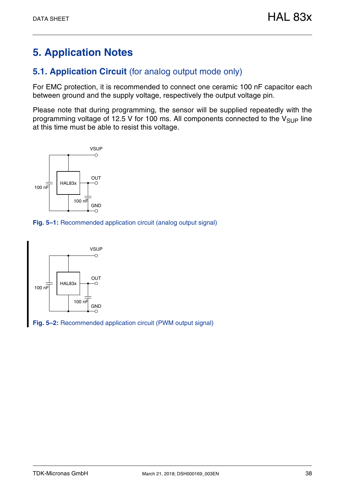## <span id="page-37-0"></span>**5. Application Notes**

## <span id="page-37-1"></span>**5.1. Application Circuit** (for analog output mode only)

For EMC protection, it is recommended to connect one ceramic 100 nF capacitor each between ground and the supply voltage, respectively the output voltage pin.

Please note that during programming, the sensor will be supplied repeatedly with the programming voltage of 12.5 V for 100 ms. All components connected to the  $V_{\text{SUP}}$  line at this time must be able to resist this voltage.



<span id="page-37-2"></span>**Fig. 5–1:** Recommended application circuit (analog output signal)



**Fig. 5–2:** Recommended application circuit (PWM output signal)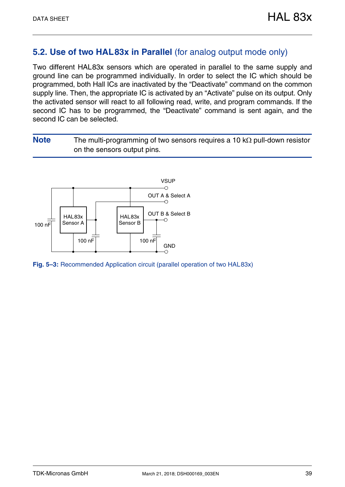### <span id="page-38-0"></span>**5.2. Use of two HAL83x in Parallel** (for analog output mode only)

Two different HAL83x sensors which are operated in parallel to the same supply and ground line can be programmed individually. In order to select the IC which should be programmed, both Hall ICs are inactivated by the "Deactivate" command on the common supply line. Then, the appropriate IC is activated by an "Activate" pulse on its output. Only the activated sensor will react to all following read, write, and program commands. If the second IC has to be programmed, the "Deactivate" command is sent again, and the second IC can be selected.

**Note** The multi-programming of two sensors requires a 10 k $\Omega$  pull-down resistor on the sensors output pins.



**Fig. 5–3:** Recommended Application circuit (parallel operation of two HAL83x)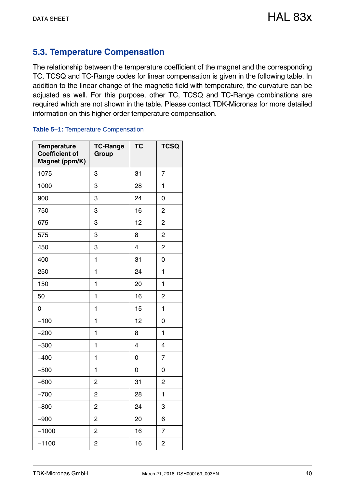## <span id="page-39-2"></span><span id="page-39-0"></span>**5.3. Temperature Compensation**

The relationship between the temperature coefficient of the magnet and the corresponding TC, TCSQ and TC-Range codes for linear compensation is given in the following table. In addition to the linear change of the magnetic field with temperature, the curvature can be adjusted as well. For this purpose, other TC, TCSQ and TC-Range combinations are required which are not shown in the table. Please contact TDK-Micronas for more detailed information on this higher order temperature compensation.

#### <span id="page-39-1"></span>**Table 5–1:** Temperature Compensation

| <b>Temperature</b><br><b>Coefficient of</b><br>Magnet (ppm/K) | <b>TC-Range</b><br>Group | <b>TC</b>      | <b>TCSQ</b>    |
|---------------------------------------------------------------|--------------------------|----------------|----------------|
| 1075                                                          | 3                        | 31             | 7              |
| 1000                                                          | 3                        | 28             | 1              |
| 900                                                           | 3                        | 24             | 0              |
| 750                                                           | 3                        | 16             | $\overline{c}$ |
| 675                                                           | 3                        | 12             | $\overline{c}$ |
| 575                                                           | 3                        | 8              | $\overline{2}$ |
| 450                                                           | 3                        | $\overline{4}$ | 2              |
| 400                                                           | $\mathbf{1}$             | 31             | 0              |
| 250                                                           | 1                        | 24             | 1              |
| 150                                                           | 1                        | 20             | 1              |
| 50                                                            | 1                        | 16             | 2              |
| 0                                                             | 1                        | 15             | 1              |
| $-100$                                                        | 1                        | 12             | 0              |
| $-200$                                                        | 1                        | 8              | 1              |
| $-300$                                                        | 1                        | 4              | 4              |
| $-400$                                                        | 1                        | 0              | 7              |
| $-500$                                                        | 1                        | 0              | 0              |
| $-600$                                                        | 2                        | 31             | 2              |
| $-700$                                                        | 2                        | 28             | 1              |
| $-800$                                                        | 2                        | 24             | 3              |
| $-900$                                                        | $\overline{c}$           | 20             | 6              |
| $-1000$                                                       | 2                        | 16             | 7              |
| $-1100$                                                       | 2                        | 16             | 2              |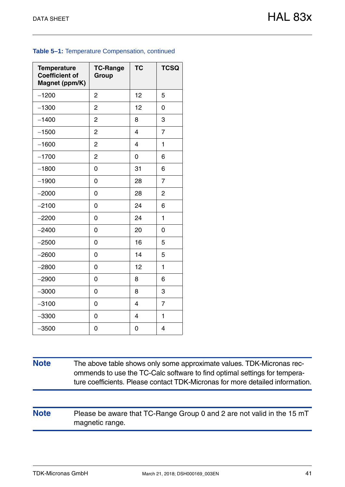#### **Table 5–1:** Temperature Compensation, continued

| <b>Temperature</b><br><b>Coefficient of</b><br>Magnet (ppm/K) | <b>TC-Range</b><br>Group | <b>TC</b>      | <b>TCSQ</b>    |
|---------------------------------------------------------------|--------------------------|----------------|----------------|
| $-1200$                                                       | $\overline{c}$           | 12             | 5              |
| $-1300$                                                       | $\overline{2}$           | 12             | 0              |
| $-1400$                                                       | 2                        | 8              | 3              |
| $-1500$                                                       | $\overline{2}$           | $\overline{4}$ | $\overline{7}$ |
| $-1600$                                                       | $\overline{c}$           | 4              | 1              |
| $-1700$                                                       | $\overline{2}$           | 0              | 6              |
| $-1800$                                                       | 0                        | 31             | 6              |
| $-1900$                                                       | 0                        | 28             | $\overline{7}$ |
| $-2000$                                                       | 0                        | 28             | 2              |
| $-2100$                                                       | 0                        | 24             | 6              |
| $-2200$                                                       | 0                        | 24             | 1              |
| $-2400$                                                       | 0                        | 20             | 0              |
| $-2500$                                                       | 0                        | 16             | 5              |
| $-2600$                                                       | 0                        | 14             | 5              |
| $-2800$                                                       | 0                        | 12             | 1              |
| $-2900$                                                       | 0                        | 8              | 6              |
| $-3000$                                                       | 0                        | 8              | 3              |
| $-3100$                                                       | 0                        | $\overline{4}$ | $\overline{7}$ |
| $-3300$                                                       | 0                        | $\overline{4}$ | 1              |
| $-3500$                                                       | 0                        | 0              | 4              |

**Note** The above table shows only some approximate values. TDK-Micronas recommends to use the TC-Calc software to find optimal settings for temperature coefficients. Please contact TDK-Micronas for more detailed information.

**Note** Please be aware that TC-Range Group 0 and 2 are not valid in the 15 mT magnetic range.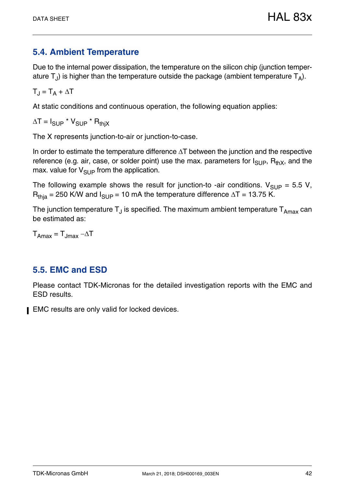## <span id="page-41-2"></span><span id="page-41-0"></span>**5.4. Ambient Temperature**

Due to the internal power dissipation, the temperature on the silicon chip (junction temperature  $T_{J}$ ) is higher than the temperature outside the package (ambient temperature  $T_{A}$ ).

 $T_J = T_A + \Delta T$ 

At static conditions and continuous operation, the following equation applies:

 $\Delta T = I_{\text{SUP}} * V_{\text{SUP}} * R_{\text{thiX}}$ 

The X represents junction-to-air or junction-to-case.

In order to estimate the temperature difference  $\Delta T$  between the junction and the respective reference (e.g. air, case, or solder point) use the max. parameters for  $I_{\text{SUP}}$ ,  $R_{\text{thX}}$ , and the max. value for  $V_{\text{SUP}}$  from the application.

The following example shows the result for junction-to -air conditions.  $V_{\text{SUP}} = 5.5 V$ ,  $R<sub>thia</sub> = 250$  K/W and  $I<sub>SUP</sub> = 10$  mA the temperature difference  $\Delta T = 13.75$  K.

The junction temperature  $T_J$  is specified. The maximum ambient temperature  $T_{Amax}$  can be estimated as:

 $T_{\text{Amax}} = T_{\text{Jmax}} - \Delta T$ 

## <span id="page-41-1"></span>**5.5. EMC and ESD**

Please contact TDK-Micronas for the detailed investigation reports with the EMC and ESD results.

EMC results are only valid for locked devices.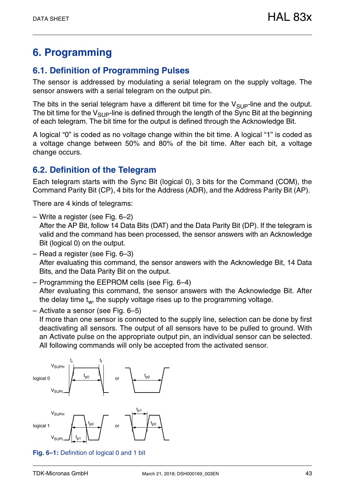## <span id="page-42-0"></span>**6. Programming**

## <span id="page-42-1"></span>**6.1. Definition of Programming Pulses**

The sensor is addressed by modulating a serial telegram on the supply voltage. The sensor answers with a serial telegram on the output pin.

The bits in the serial telegram have a different bit time for the  $V_{\text{SIIP}}$ -line and the output. The bit time for the  $V_{\text{SUP}}$ -line is defined through the length of the Sync Bit at the beginning of each telegram. The bit time for the output is defined through the Acknowledge Bit.

A logical "0" is coded as no voltage change within the bit time. A logical "1" is coded as a voltage change between 50% and 80% of the bit time. After each bit, a voltage change occurs.

## <span id="page-42-2"></span>**6.2. Definition of the Telegram**

Each telegram starts with the Sync Bit (logical 0), 3 bits for the Command (COM), the Command Parity Bit (CP), 4 bits for the Address (ADR), and the Address Parity Bit (AP).

There are 4 kinds of telegrams:

– Write a register [\(see Fig. 6–2\)](#page-43-0)

After the AP Bit, follow 14 Data Bits (DAT) and the Data Parity Bit (DP). If the telegram is valid and the command has been processed, the sensor answers with an Acknowledge Bit (logical 0) on the output.

- Read a register [\(see Fig. 6–3\)](#page-43-1) After evaluating this command, the sensor answers with the Acknowledge Bit, 14 Data Bits, and the Data Parity Bit on the output.
- Programming the EEPROM cells [\(see Fig. 6–4\)](#page-44-0) After evaluating this command, the sensor answers with the Acknowledge Bit. After the delay time  $t_w$ , the supply voltage rises up to the programming voltage.

– Activate a sensor [\(see Fig. 6–5\)](#page-44-1) If more than one sensor is connected to the supply line, selection can be done by first deactivating all sensors. The output of all sensors have to be pulled to ground. With an Activate pulse on the appropriate output pin, an individual sensor can be selected. All following commands will only be accepted from the activated sensor.



<span id="page-42-3"></span>**Fig. 6–1:** Definition of logical 0 and 1 bit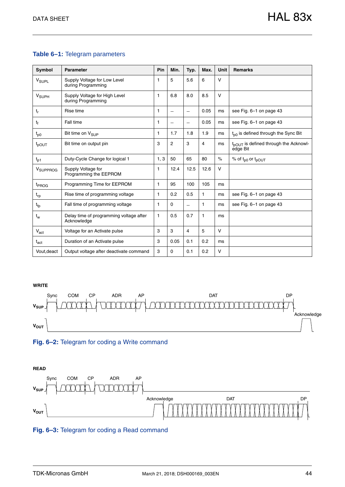#### **Table 6–1:** Telegram parameters

| Symbol                   | Parameter                                              | Pin  | Min.                     | Typ.                     | Max.           | <b>Unit</b> | <b>Remarks</b>                                                |
|--------------------------|--------------------------------------------------------|------|--------------------------|--------------------------|----------------|-------------|---------------------------------------------------------------|
| V <sub>SUPL</sub>        | Supply Voltage for Low Level<br>during Programming     | 1    | 5                        | 5.6                      | 6              | $\vee$      |                                                               |
| <b>V</b> <sub>SUPH</sub> | Supply Voltage for High Level<br>during Programming    | 1    | 6.8                      | 8.0                      | 8.5            | $\vee$      |                                                               |
| $t_r$                    | Rise time                                              | 1    | $\overline{\phantom{0}}$ |                          | 0.05           | ms          | see Fig. 6-1 on page 43                                       |
| t <sub>f</sub>           | Fall time                                              | 1    | $\overline{\phantom{0}}$ | $\overline{\phantom{0}}$ | 0.05           | ms          | see Fig. 6-1 on page 43                                       |
| $t_{p0}$                 | Bit time on V <sub>SUP</sub>                           | 1    | 1.7                      | 1.8                      | 1.9            | ms          | $t_{00}$ is defined through the Sync Bit                      |
| $t_{\text{pOUT}}$        | Bit time on output pin                                 | 3    | $\overline{c}$           | 3                        | $\overline{4}$ | ms          | t <sub>pOUT</sub> is defined through the Acknowl-<br>edge Bit |
| $t_{p1}$                 | Duty-Cycle Change for logical 1                        | 1, 3 | 50                       | 65                       | 80             | $\%$        | % of $t_{p0}$ or $t_{pOUT}$                                   |
| V <sub>SUPPROG</sub>     | Supply Voltage for<br>Programming the EEPROM           | 1    | 12.4                     | 12.5                     | 12.6           | V           |                                                               |
| t <sub>PROG</sub>        | Programming Time for EEPROM                            | 1    | 95                       | 100                      | 105            | ms          |                                                               |
| $t_{rp}$                 | Rise time of programming voltage                       | 1    | 0.2                      | 0.5                      | 1              | ms          | see Fig. 6-1 on page 43                                       |
| $t_{fp}$                 | Fall time of programming voltage                       | 1    | 0                        | $\overline{\phantom{0}}$ | 1              | ms          | see Fig. 6-1 on page 43                                       |
| $t_w$                    | Delay time of programming voltage after<br>Acknowledge | 1    | 0.5                      | 0.7                      | $\mathbf{1}$   | ms          |                                                               |
| $V_{\text{act}}$         | Voltage for an Activate pulse                          | 3    | 3                        | 4                        | 5              | $\vee$      |                                                               |
| $t_{\rm act}$            | Duration of an Activate pulse                          | 3    | 0.05                     | 0.1                      | 0.2            | ms          |                                                               |
| Vout, deact              | Output voltage after deactivate command                | 3    | 0                        | 0.1                      | 0.2            | V           |                                                               |

#### **WRITE**



#### <span id="page-43-0"></span>**Fig. 6–2:** Telegram for coding a Write command



#### <span id="page-43-1"></span>**Fig. 6–3:** Telegram for coding a Read command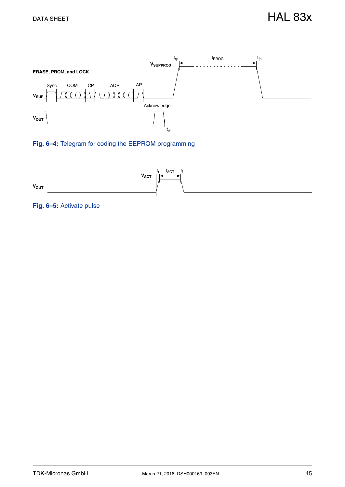

#### <span id="page-44-0"></span>**Fig. 6–4:** Telegram for coding the EEPROM programming



#### <span id="page-44-1"></span>**Fig. 6–5:** Activate pulse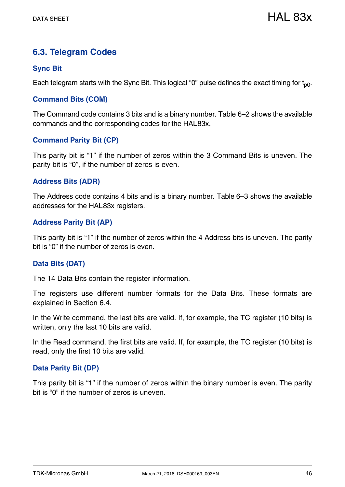## <span id="page-45-0"></span>**6.3. Telegram Codes**

#### **Sync Bit**

Each telegram starts with the Sync Bit. This logical "0" pulse defines the exact timing for  $t_{p0}$ .

#### **Command Bits (COM)**

The Command code contains 3 bits and is a binary number. [Table 6–2](#page-46-1) shows the available commands and the corresponding codes for the HAL83x.

#### **Command Parity Bit (CP)**

This parity bit is "1" if the number of zeros within the 3 Command Bits is uneven. The parity bit is "0", if the number of zeros is even.

#### **Address Bits (ADR)**

The Address code contains 4 bits and is a binary number. [Table 6–3](#page-48-0) shows the available addresses for the HAL83x registers.

#### **Address Parity Bit (AP)**

This parity bit is "1" if the number of zeros within the 4 Address bits is uneven. The parity bit is "0" if the number of zeros is even.

#### **Data Bits (DAT)**

The 14 Data Bits contain the register information.

The registers use different number formats for the Data Bits. These formats are explained in [Section 6.4.](#page-46-0)

In the Write command, the last bits are valid. If, for example, the TC register (10 bits) is written, only the last 10 bits are valid.

In the Read command, the first bits are valid. If, for example, the TC register (10 bits) is read, only the first 10 bits are valid.

#### **Data Parity Bit (DP)**

This parity bit is "1" if the number of zeros within the binary number is even. The parity bit is "0" if the number of zeros is uneven.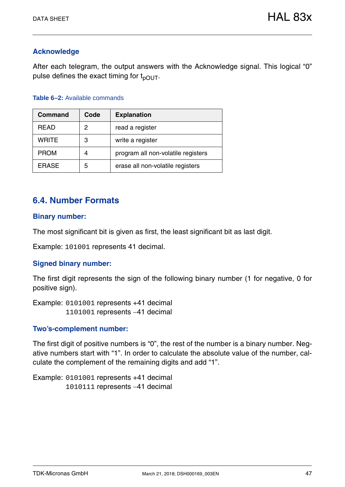#### **Acknowledge**

After each telegram, the output answers with the Acknowledge signal. This logical "0" pulse defines the exact timing for  $t_{pOUT}$ .

#### <span id="page-46-1"></span>**Table 6–2:** Available commands

| <b>Command</b> | Code | <b>Explanation</b>                 |
|----------------|------|------------------------------------|
| <b>READ</b>    | 2    | read a register                    |
| <b>WRITE</b>   | 3    | write a register                   |
| <b>PROM</b>    | 4    | program all non-volatile registers |
| <b>ERASE</b>   | 5    | erase all non-volatile registers   |

## <span id="page-46-0"></span>**6.4. Number Formats**

#### **Binary number:**

The most significant bit is given as first, the least significant bit as last digit.

Example: 101001 represents 41 decimal.

#### **Signed binary number:**

The first digit represents the sign of the following binary number (1 for negative, 0 for positive sign).

Example: 0101001 represents +41 decimal 1101001 represents 41 decimal

#### **Two's-complement number:**

The first digit of positive numbers is "0", the rest of the number is a binary number. Negative numbers start with "1". In order to calculate the absolute value of the number, calculate the complement of the remaining digits and add "1".

Example: 0101001 represents +41 decimal 1010111 represents 41 decimal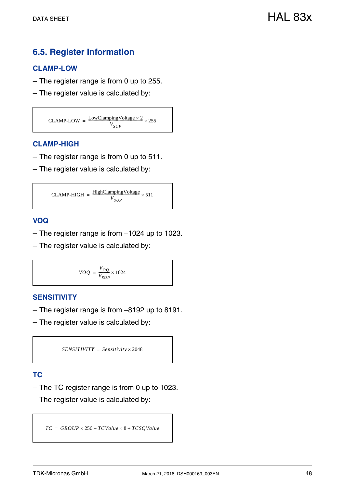## <span id="page-47-0"></span>**6.5. Register Information**

#### **CLAMP-LOW**

- The register range is from 0 up to 255.
- The register value is calculated by:

 $CLAMP-LOW = \frac{LowClampingVoltage \times 2}{V}$  $=\frac{LowCaining Wimage \times 2}{V_{SUP}}$ 

#### **CLAMP-HIGH**

- The register range is from 0 up to 511.
- The register value is calculated by:

$$
CLAMP-HIGH = \frac{HighClampingVoltage}{V_{SUP}} \times 511
$$

#### **VOQ**

- $-$  The register range is from  $-1024$  up to 1023.
- The register value is calculated by:

$$
VOQ = \frac{V_{OO}}{V_{SUP}} \times 1024
$$

#### **SENSITIVITY**

- $-$  The register range is from  $-8192$  up to 8191.
- The register value is calculated by:

```
SENSITIVITY = Sensitivity \times 2048
```
#### **TC**

- The TC register range is from 0 up to 1023.
- The register value is calculated by:

 $TC = GROUP \times 256 + TCValue \times 8 + TCSQValue$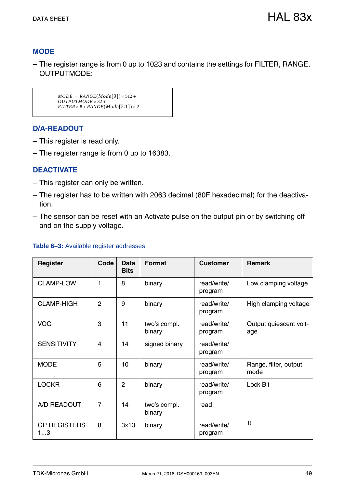#### **MODE**

– The register range is from 0 up to 1023 and contains the settings for FILTER, RANGE, OUTPUTMODE:

```
MODE = RANGE(Mode[9]) \times 512 +OUTPUTMODE \times 32 +FILTER \times 8 + RANGE (Mode [2:1]) \times 2
```
#### **D/A-READOUT**

- This register is read only.
- The register range is from 0 up to 16383.

#### **DEACTIVATE**

- This register can only be written.
- The register has to be written with 2063 decimal (80F hexadecimal) for the deactivation.
- The sensor can be reset with an Activate pulse on the output pin or by switching off and on the supply voltage.

| <b>Register</b>           | Code           | Data<br><b>Bits</b> | <b>Format</b>          | <b>Customer</b>        | <b>Remark</b>                 |
|---------------------------|----------------|---------------------|------------------------|------------------------|-------------------------------|
| <b>CLAMP-LOW</b>          | 1              | 8                   | binary                 | read/write/<br>program | Low clamping voltage          |
| <b>CLAMP-HIGH</b>         | $\overline{2}$ | 9                   | binary                 | read/write/<br>program | High clamping voltage         |
| VOQ                       | 3              | 11                  | two's compl.<br>binary | read/write/<br>program | Output quiescent volt-<br>age |
| <b>SENSITIVITY</b>        | 4              | 14                  | signed binary          | read/write/<br>program |                               |
| <b>MODE</b>               | 5              | 10                  | binary                 | read/write/<br>program | Range, filter, output<br>mode |
| <b>LOCKR</b>              | 6              | $\overline{2}$      | binary                 | read/write/<br>program | Lock Bit                      |
| A/D READOUT               | $\overline{7}$ | 14                  | two's compl.<br>binary | read                   |                               |
| <b>GP REGISTERS</b><br>13 | 8              | 3x13                | binary                 | read/write/<br>program | 1)                            |

#### <span id="page-48-0"></span>**Table 6–3:** Available register addresses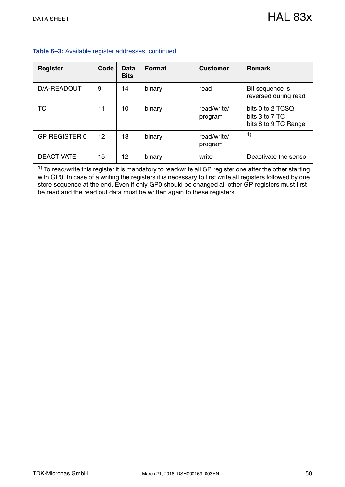| <b>Register</b>                                                                                                                                                                                                          | Code | <b>Data</b><br><b>Bits</b> | <b>Format</b> | <b>Customer</b>        | <b>Remark</b>                                              |  |  |  |  |  |
|--------------------------------------------------------------------------------------------------------------------------------------------------------------------------------------------------------------------------|------|----------------------------|---------------|------------------------|------------------------------------------------------------|--|--|--|--|--|
| D/A-READOUT                                                                                                                                                                                                              | 9    | 14                         | binary        | read                   | Bit sequence is<br>reversed during read                    |  |  |  |  |  |
| <b>TC</b>                                                                                                                                                                                                                | 11   | 10                         | binary        | read/write/<br>program | bits 0 to 2 TCSQ<br>bits 3 to 7 TC<br>bits 8 to 9 TC Range |  |  |  |  |  |
| <b>GP REGISTER 0</b>                                                                                                                                                                                                     | 12   | 13                         | binary        | read/write/<br>program | 1)                                                         |  |  |  |  |  |
| <b>DEACTIVATE</b>                                                                                                                                                                                                        | 15   | 12                         | binary        | write                  | Deactivate the sensor                                      |  |  |  |  |  |
| $1)$ To read/write this register it is mandatory to read/write all GP register one after the other starting<br>with GP0. In case of a writing the registers it is necessary to first write all registers followed by one |      |                            |               |                        |                                                            |  |  |  |  |  |

store sequence at the end. Even if only GP0 should be changed all other GP registers must first

be read and the read out data must be written again to these registers.

#### **Table 6–3:** Available register addresses, continued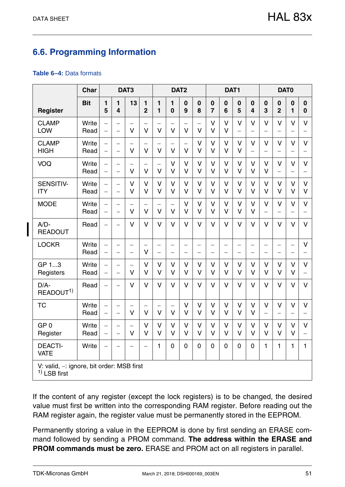## <span id="page-50-0"></span>**6.6. Programming Information**

#### <span id="page-50-1"></span>**Table 6–4:** Data formats

| <b>Char</b>                     |                                           |                                                      | DAT3                                                 |                                    |                                    | DAT <sub>2</sub>                                     |                                               |                                                      | DAT1                     |                                                      |                                               |                          | DAT0                                   |                                                      |                                    |                                                      |                                    |
|---------------------------------|-------------------------------------------|------------------------------------------------------|------------------------------------------------------|------------------------------------|------------------------------------|------------------------------------------------------|-----------------------------------------------|------------------------------------------------------|--------------------------|------------------------------------------------------|-----------------------------------------------|--------------------------|----------------------------------------|------------------------------------------------------|------------------------------------|------------------------------------------------------|------------------------------------|
| <b>Register</b>                 | <b>Bit</b>                                | 1<br>5                                               | 1<br>$\overline{\mathbf{4}}$                         | 13                                 | 1<br>$\overline{2}$                | 1<br>$\mathbf{1}$                                    | 1<br>$\bf{0}$                                 | $\mathbf 0$<br>9                                     | $\bf{0}$<br>8            | $\mathbf 0$<br>$\overline{7}$                        | $\bf{0}$<br>6                                 | $\bf{0}$<br>5            | $\mathbf 0$<br>$\overline{\mathbf{4}}$ | $\bf{0}$<br>3                                        | $\mathbf 0$<br>$\overline{2}$      | $\bf{0}$<br>$\mathbf{1}$                             | $\mathbf 0$<br>$\mathbf 0$         |
| <b>CLAMP</b><br><b>LOW</b>      | Write<br>Read                             | $\overline{\phantom{0}}$<br>$\overline{\phantom{0}}$ | $\overline{\phantom{0}}$<br>$\frac{1}{2}$            | $\vee$                             | $\vee$                             | $\vee$                                               | $\vee$                                        | $\overline{V}$                                       | $\vee$                   | $\vee$<br>$\vee$                                     | $\vee$<br>$\vee$                              | $\vee$<br>$\overline{a}$ | $\vee$                                 | $\vee$                                               | $\vee$                             | $\vee$                                               | $\vee$                             |
| <b>CLAMP</b><br><b>HIGH</b>     | Write<br>Read                             | $\overline{\phantom{0}}$<br>$\overline{\phantom{0}}$ | $\overline{\phantom{0}}$                             | $\qquad \qquad -$<br>$\vee$        | $\qquad \qquad -$<br>$\vee$        | $\overline{\phantom{0}}$<br>$\vee$                   | $\overline{\phantom{0}}$<br>$\vee$            | $\qquad \qquad -$<br>$\overline{V}$                  | $\vee$<br>$\vee$         | $\vee$<br>$\vee$                                     | $\vee$<br>$\vee$                              | $\vee$<br>$\vee$         | V<br>$\overline{\phantom{0}}$          | $\vee$<br>$\overline{\phantom{0}}$                   | $\vee$<br>$\overline{\phantom{0}}$ | $\vee$<br>$\overline{\phantom{0}}$                   | V                                  |
| VOQ                             | Write<br>Read                             | $\overline{\phantom{0}}$<br>$\equiv$                 | $\overline{\phantom{0}}$<br>$\overline{\phantom{0}}$ | $\vee$                             | $\qquad \qquad -$<br>$\vee$        | $\qquad \qquad -$<br>$\vee$                          | $\vee$<br>$\vee$                              | $\vee$<br>$\vee$                                     | $\vee$<br>$\vee$         | $\mathsf{V}$<br>$\vee$                               | $\vee$<br>$\vee$                              | $\vee$<br>$\vee$         | V<br>V                                 | $\vee$<br>$\vee$                                     | $\vee$<br>$\overline{\phantom{0}}$ | $\vee$<br>$\overline{\phantom{0}}$                   | $\vee$<br>$\overline{\phantom{0}}$ |
| SENSITIV-<br><b>ITY</b>         | Write<br>Read                             | $\qquad \qquad -$<br>$\overline{\phantom{0}}$        | $\overline{\phantom{0}}$<br>$\overline{\phantom{0}}$ | $\vee$<br>$\vee$                   | $\vee$<br>$\vee$                   | $\vee$<br>$\vee$                                     | $\vee$<br>$\vee$                              | $\vee$<br>$\vee$                                     | V<br>$\vee$              | $\vee$<br>$\vee$                                     | $\vee$<br>$\vee$                              | $\vee$<br>$\vee$         | V<br>$\vee$                            | $\vee$<br>$\vee$                                     | $\vee$<br>V                        | $\vee$<br>$\vee$                                     | $\vee$<br>$\vee$                   |
| <b>MODE</b>                     | Write<br>Read                             | $\overline{\phantom{0}}$<br>$\qquad \qquad -$        | $\overline{\phantom{0}}$                             | $\vee$                             | $\overline{\phantom{0}}$<br>$\vee$ | $\overline{\phantom{0}}$<br>$\vee$                   | $\overline{\phantom{0}}$<br>$\vee$            | $\vee$<br>$\vee$                                     | $\vee$<br>$\vee$         | V<br>$\vee$                                          | $\vee$<br>$\vee$                              | $\vee$<br>$\vee$         | V<br>$\vee$                            | $\vee$<br>$\overline{\phantom{0}}$                   | V<br>$\qquad \qquad -$             | $\vee$<br>$\overline{\phantom{0}}$                   | $\vee$<br>$\overline{\phantom{0}}$ |
| $A/D-$<br><b>READOUT</b>        | Read                                      | $\overline{\phantom{0}}$                             |                                                      | $\vee$                             | $\vee$                             | $\vee$                                               | $\vee$                                        | $\vee$                                               | $\vee$                   | $\vee$                                               | $\vee$                                        | $\vee$                   | $\vee$                                 | $\vee$                                               | $\vee$                             | $\vee$                                               | $\vee$                             |
| <b>LOCKR</b>                    | Write<br>Read                             | $\overline{\phantom{0}}$<br>$\equiv$                 | $\overline{\phantom{0}}$<br>$\overline{\phantom{0}}$ | $\qquad \qquad -$<br>$\equiv$      | $\qquad \qquad -$<br>V             | $\overline{\phantom{0}}$<br>$\overline{\phantom{0}}$ | $\overline{\phantom{0}}$<br>$\qquad \qquad -$ | $\overline{\phantom{0}}$<br>$\overline{\phantom{0}}$ | $\overline{\phantom{0}}$ | $\overline{\phantom{0}}$<br>$\overline{\phantom{0}}$ | $\qquad \qquad -$<br>$\overline{\phantom{0}}$ | $\overline{\phantom{0}}$ | $\overline{\phantom{0}}$<br>$\equiv$   | $\overline{\phantom{0}}$<br>$\overline{\phantom{0}}$ | $\overline{\phantom{0}}$           | $\overline{\phantom{0}}$<br>$\overline{\phantom{0}}$ | V                                  |
| GP 13<br>Registers              | Write<br>Read                             | $\equiv$<br>$\equiv$                                 | $\overline{\phantom{0}}$<br>$\overline{\phantom{0}}$ | $\overline{\phantom{0}}$<br>$\vee$ | $\mathsf{V}$<br>$\vee$             | V<br>$\vee$                                          | $\vee$<br>$\vee$                              | $\vee$<br>$\vee$                                     | $\vee$<br>$\vee$         | $\vee$<br>$\vee$                                     | $\vee$<br>$\vee$                              | $\vee$<br>$\vee$         | V<br>$\vee$                            | $\vee$<br>$\vee$                                     | V<br>$\vee$                        | $\vee$<br>$\vee$                                     | $\vee$<br>$\overline{\phantom{0}}$ |
| $D/A-$<br>READOUT <sup>1)</sup> | Read                                      | $\overline{\phantom{0}}$                             |                                                      | $\vee$                             | $\vee$                             | $\vee$                                               | $\overline{V}$                                | $\vee$                                               | $\vee$                   | $\vee$                                               | $\vee$                                        | $\vee$                   | V                                      | $\vee$                                               | $\overline{V}$                     | $\vee$                                               | $\vee$                             |
| <b>TC</b>                       | Write<br>Read                             | $\overline{\phantom{0}}$                             | $\overline{\phantom{0}}$                             | $\vee$                             | $\vee$                             | $\vee$                                               | $\vee$                                        | $\mathsf{V}$<br>$\vee$                               | $\vee$<br>$\vee$         | $\vee$<br>$\vee$                                     | $\vee$<br>$\vee$                              | $\vee$<br>$\vee$         | $\vee$<br>$\vee$                       | $\vee$<br>$\overline{\phantom{0}}$                   | $\vee$<br>$\overline{\phantom{0}}$ | $\mathsf{V}$                                         | V<br>$\overline{\phantom{0}}$      |
| GP <sub>0</sub><br>Register     | Write<br>Read                             | $\equiv$<br>$\overline{\phantom{0}}$                 |                                                      | $\overline{\phantom{0}}$<br>$\vee$ | $\vee$<br>$\vee$                   | $\vee$<br>$\vee$                                     | $\vee$<br>$\vee$                              | $\vee$<br>$\vee$                                     | $\vee$<br>$\vee$         | $\vee$<br>$\vee$                                     | $\vee$<br>$\vee$                              | $\vee$<br>$\vee$         | $\vee$<br>V                            | $\vee$<br>$\vee$                                     | $\vee$<br>$\vee$                   | $\vee$<br>$\vee$                                     | $\vee$                             |
| <b>DEACTI-</b><br><b>VATE</b>   | Write                                     | $\overline{\phantom{0}}$                             |                                                      |                                    | $\overline{\phantom{0}}$           | 1                                                    | $\overline{0}$                                | $\overline{0}$                                       | $\mathbf 0$              | $\mathbf 0$                                          | $\overline{0}$                                | $\overline{0}$           | $\overline{0}$                         | 1                                                    | 1                                  | 1                                                    | 1                                  |
| $1)$ LSB first                  | V: valid, -: ignore, bit order: MSB first |                                                      |                                                      |                                    |                                    |                                                      |                                               |                                                      |                          |                                                      |                                               |                          |                                        |                                                      |                                    |                                                      |                                    |

If the content of any register (except the lock registers) is to be changed, the desired value must first be written into the corresponding RAM register. Before reading out the RAM register again, the register value must be permanently stored in the EEPROM.

Permanently storing a value in the EEPROM is done by first sending an ERASE command followed by sending a PROM command. **The address within the ERASE and PROM commands must be zero.** ERASE and PROM act on all registers in parallel.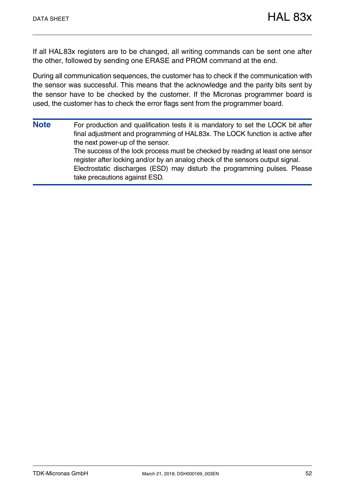If all HAL83x registers are to be changed, all writing commands can be sent one after the other, followed by sending one ERASE and PROM command at the end.

During all communication sequences, the customer has to check if the communication with the sensor was successful. This means that the acknowledge and the parity bits sent by the sensor have to be checked by the customer. If the Micronas programmer board is used, the customer has to check the error flags sent from the programmer board.

**Note** For production and qualification tests it is mandatory to set the LOCK bit after final adjustment and programming of HAL83x. The LOCK function is active after the next power-up of the sensor. The success of the lock process must be checked by reading at least one sensor register after locking and/or by an analog check of the sensors output signal. Electrostatic discharges (ESD) may disturb the programming pulses. Please take precautions against ESD.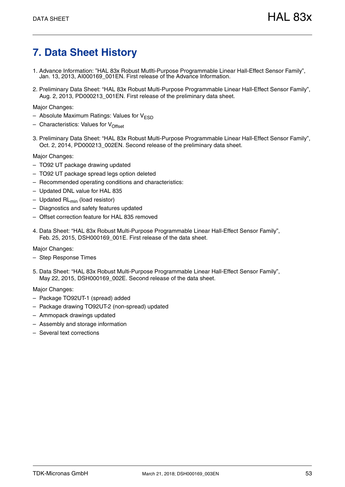## <span id="page-52-0"></span>**7. Data Sheet History**

- 1. Advance Information: "HAL 83x Robust Mutlti-Purpose Programmable Linear Hall-Effect Sensor Family", Jan. 13, 2013, AI000169\_001EN. First release of the Advance Information.
- 2. Preliminary Data Sheet: "[HAL 83x](#page--1-1) Robust Multi-Purpose Programmable Linear Hall-Effect Sensor Family", Aug. 2, 2013, PD000213\_001EN. First release of the preliminary data sheet.

Major Changes:

- Absolute Maximum Ratings: Values for  $V_{\text{FSD}}$
- Characteristics: Values for  $V_{\text{Offest}}$
- 3. Preliminary Data Sheet: "[HAL 83x](#page--1-1) Robust Multi-Purpose Programmable Linear Hall-Effect Sensor Family", Oct. 2, 2014, PD000213\_002EN. Second release of the preliminary data sheet.

Major Changes:

- TO92 UT package drawing updated
- TO92 UT package spread legs option deleted
- Recommended operating conditions and characteristics:
- Updated DNL value for HAL 835
- $-$  Updated RL<sub>min</sub> (load resistor)
- Diagnostics and safety features updated
- Offset correction feature for HAL 835 removed
- 4. Data Sheet: "[HAL 83x](#page--1-1) Robust Multi-Purpose Programmable Linear Hall-Effect Sensor Family", Feb. 25, 2015, DSH000169\_001E. First release of the data sheet.

Major Changes:

- Step Response Times
- 5. Data Sheet: "[HAL 83x](#page--1-1) [Robust Multi-Purpose Programmable Linear Hall-Effect Sensor Family](#page--1-0)", May 22, 2015, DSH000169\_002E. Second release of the data sheet.

Major Changes:

- Package TO92UT-1 (spread) added
- Package drawing TO92UT-2 (non-spread) updated
- Ammopack drawings updated
- Assembly and storage information
- Several text corrections